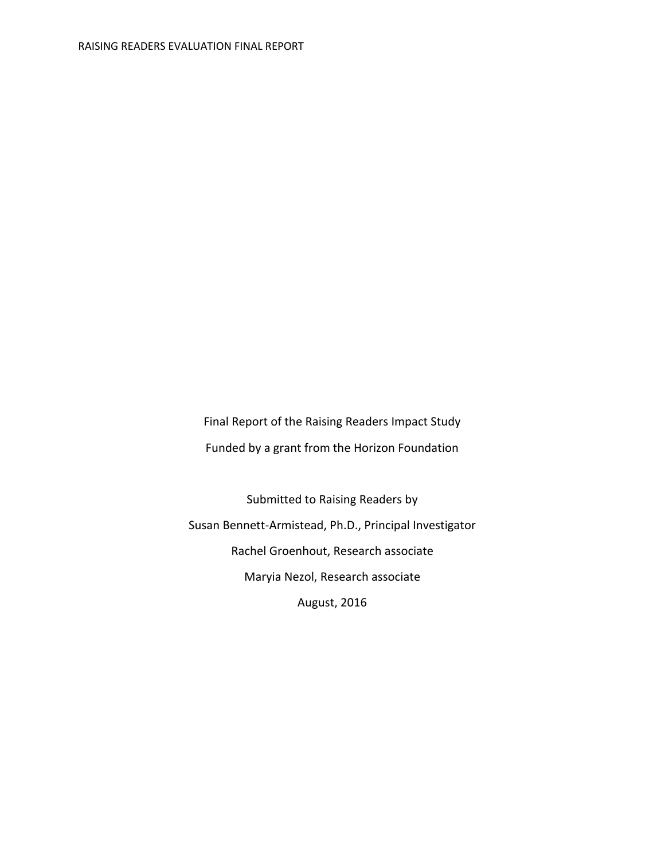Final Report of the Raising Readers Impact Study Funded by a grant from the Horizon Foundation

Submitted to Raising Readers by Susan Bennett-Armistead, Ph.D., Principal Investigator Rachel Groenhout, Research associate Maryia Nezol, Research associate August, 2016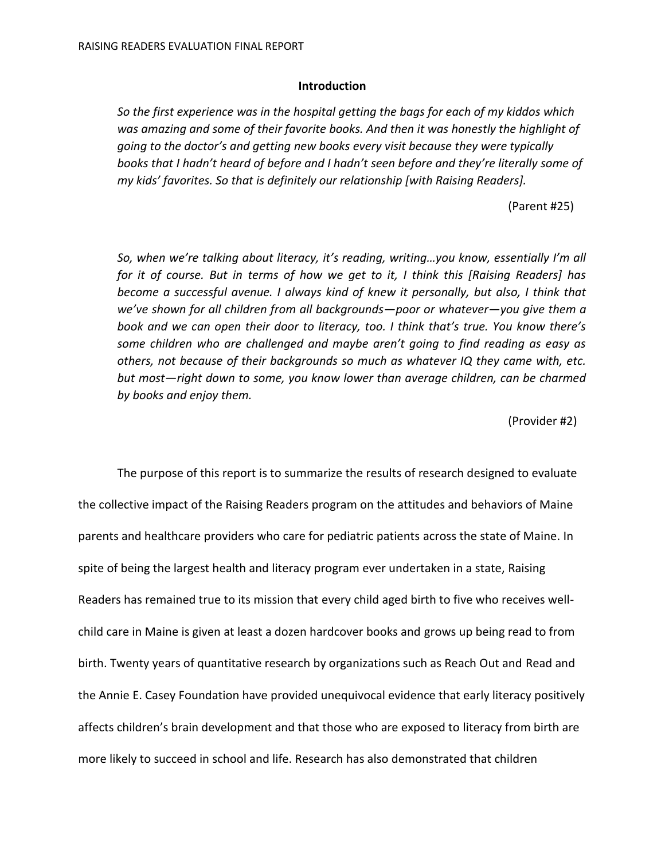#### **Introduction**

*So the first experience was in the hospital getting the bags for each of my kiddos which was amazing and some of their favorite books. And then it was honestly the highlight of going to the doctor's and getting new books every visit because they were typically books that I hadn't heard of before and I hadn't seen before and they're literally some of my kids' favorites. So that is definitely our relationship [with Raising Readers].* 

(Parent #25)

*So, when we're talking about literacy, it's reading, writing…you know, essentially I'm all for it of course. But in terms of how we get to it, I think this [Raising Readers] has become a successful avenue. I always kind of knew it personally, but also, I think that we've shown for all children from all backgrounds—poor or whatever—you give them a book and we can open their door to literacy, too. I think that's true. You know there's some children who are challenged and maybe aren't going to find reading as easy as others, not because of their backgrounds so much as whatever IQ they came with, etc. but most—right down to some, you know lower than average children, can be charmed by books and enjoy them.* 

(Provider #2)

The purpose of this report is to summarize the results of research designed to evaluate the collective impact of the Raising Readers program on the attitudes and behaviors of Maine parents and healthcare providers who care for pediatric patients across the state of Maine. In spite of being the largest health and literacy program ever undertaken in a state, Raising Readers has remained true to its mission that every child aged birth to five who receives wellchild care in Maine is given at least a dozen hardcover books and grows up being read to from birth. Twenty years of quantitative research by organizations such as Reach Out and Read and the Annie E. Casey Foundation have provided unequivocal evidence that early literacy positively affects children's brain development and that those who are exposed to literacy from birth are more likely to succeed in school and life. Research has also demonstrated that children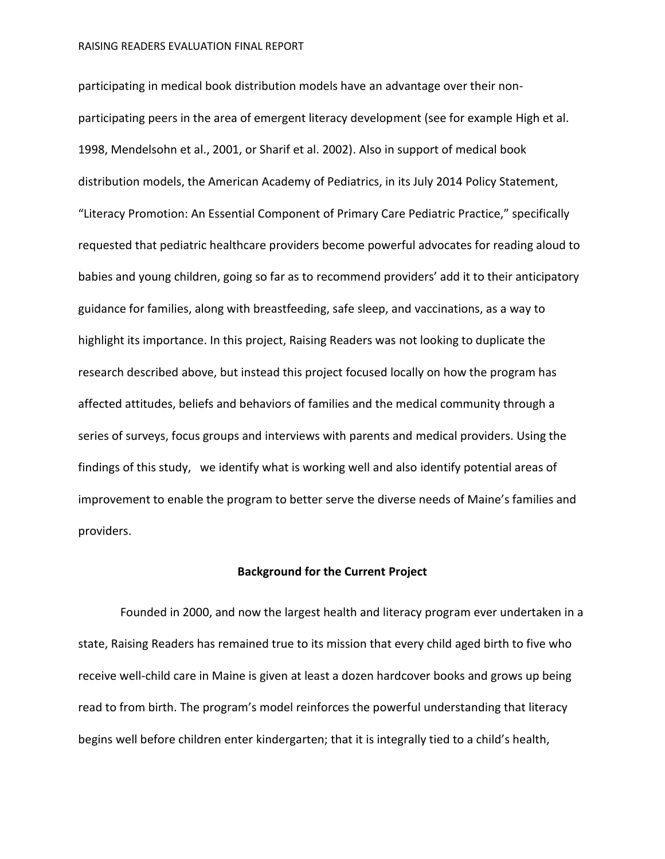participating in medical book distribution models have an advantage over their nonparticipating peers in the area of emergent literacy development (see for example High et al. 1998, Mendelsohn et al., 2001, or Sharif et al. 2002). Also in support of medical book distribution models, the American Academy of Pediatrics, in its July 2014 Policy Statement, "Literacy Promotion: An Essential Component of Primary Care Pediatric Practice," specifically requested that pediatric healthcare providers become powerful advocates for reading aloud to babies and young children, going so far as to recommend providers' add it to their anticipatory guidance for families, along with breastfeeding, safe sleep, and vaccinations, as a way to highlight its importance. In this project, Raising Readers was not looking to duplicate the research described above, but instead this project focused locally on how the program has affected attitudes, beliefs and behaviors of families and the medical community through a series of surveys, focus groups and interviews with parents and medical providers. Using the findings of this study, we identify what is working well and also identify potential areas of improvement to enable the program to better serve the diverse needs of Maine's families and providers.

### **Background for the Current Project**

Founded in 2000, and now the largest health and literacy program ever undertaken in a state, Raising Readers has remained true to its mission that every child aged birth to five who receive well-child care in Maine is given at least a dozen hardcover books and grows up being read to from birth. The program's model reinforces the powerful understanding that literacy begins well before children enter kindergarten; that it is integrally tied to a child's health,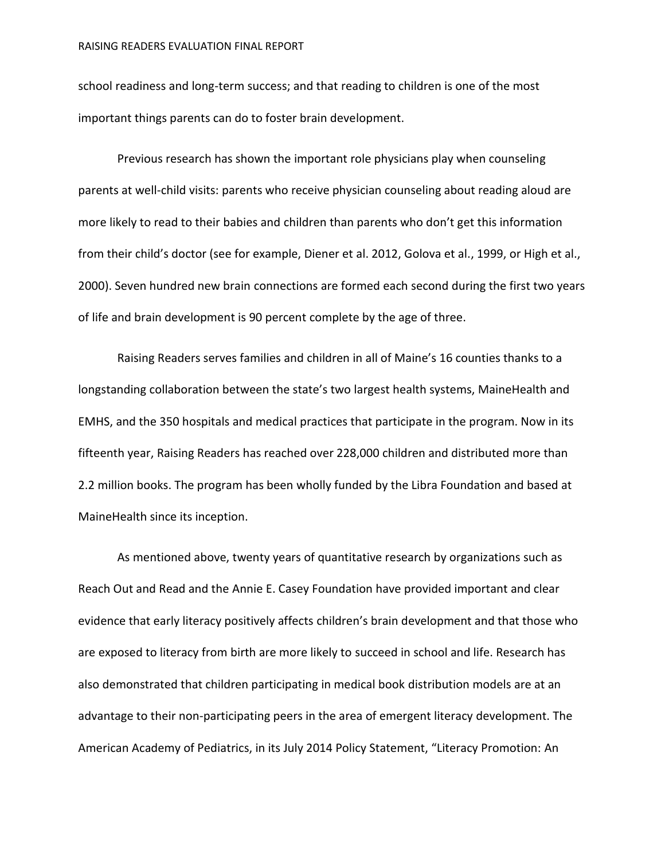school readiness and long-term success; and that reading to children is one of the most important things parents can do to foster brain development.

Previous research has shown the important role physicians play when counseling parents at well-child visits: parents who receive physician counseling about reading aloud are more likely to read to their babies and children than parents who don't get this information from their child's doctor (see for example, Diener et al. 2012, Golova et al., 1999, or High et al., 2000). Seven hundred new brain connections are formed each second during the first two years of life and brain development is 90 percent complete by the age of three.

Raising Readers serves families and children in all of Maine's 16 counties thanks to a longstanding collaboration between the state's two largest health systems, MaineHealth and EMHS, and the 350 hospitals and medical practices that participate in the program. Now in its fifteenth year, Raising Readers has reached over 228,000 children and distributed more than 2.2 million books. The program has been wholly funded by the Libra Foundation and based at MaineHealth since its inception.

As mentioned above, twenty years of quantitative research by organizations such as Reach Out and Read and the Annie E. Casey Foundation have provided important and clear evidence that early literacy positively affects children's brain development and that those who are exposed to literacy from birth are more likely to succeed in school and life. Research has also demonstrated that children participating in medical book distribution models are at an advantage to their non-participating peers in the area of emergent literacy development. The American Academy of Pediatrics, in its July 2014 Policy Statement, "Literacy Promotion: An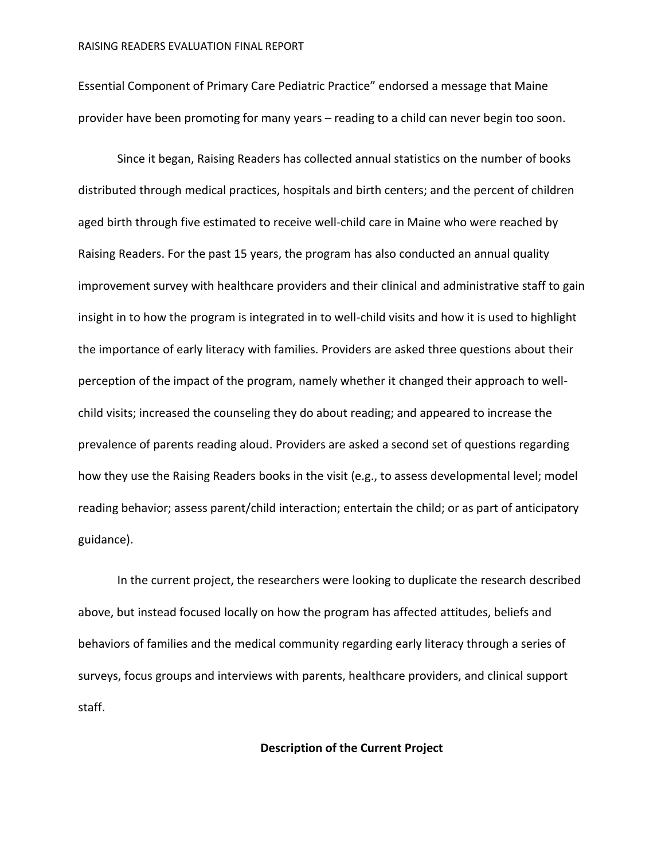Essential Component of Primary Care Pediatric Practice" endorsed a message that Maine provider have been promoting for many years – reading to a child can never begin too soon.

Since it began, Raising Readers has collected annual statistics on the number of books distributed through medical practices, hospitals and birth centers; and the percent of children aged birth through five estimated to receive well-child care in Maine who were reached by Raising Readers. For the past 15 years, the program has also conducted an annual quality improvement survey with healthcare providers and their clinical and administrative staff to gain insight in to how the program is integrated in to well-child visits and how it is used to highlight the importance of early literacy with families. Providers are asked three questions about their perception of the impact of the program, namely whether it changed their approach to wellchild visits; increased the counseling they do about reading; and appeared to increase the prevalence of parents reading aloud. Providers are asked a second set of questions regarding how they use the Raising Readers books in the visit (e.g., to assess developmental level; model reading behavior; assess parent/child interaction; entertain the child; or as part of anticipatory guidance).

In the current project, the researchers were looking to duplicate the research described above, but instead focused locally on how the program has affected attitudes, beliefs and behaviors of families and the medical community regarding early literacy through a series of surveys, focus groups and interviews with parents, healthcare providers, and clinical support staff.

### **Description of the Current Project**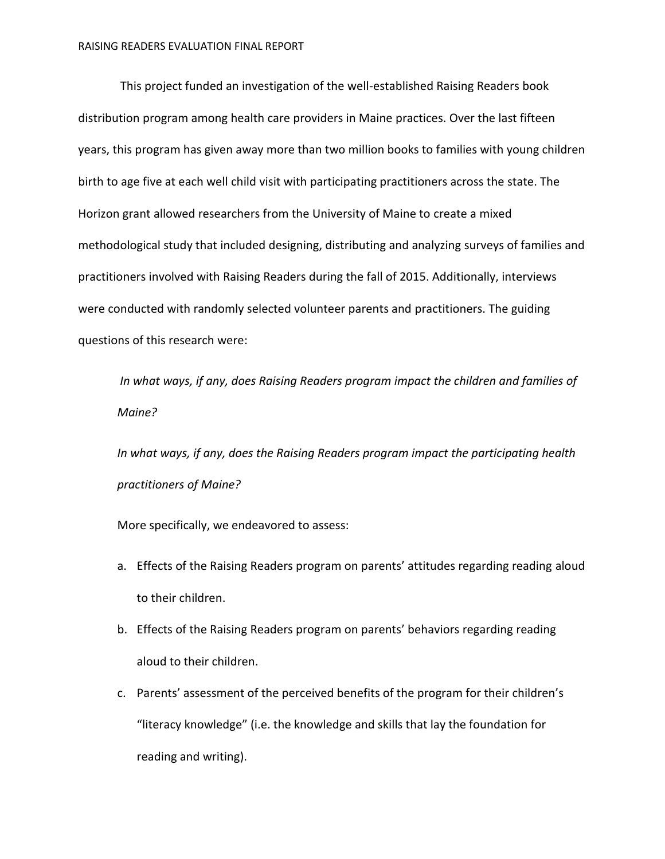This project funded an investigation of the well-established Raising Readers book distribution program among health care providers in Maine practices. Over the last fifteen years, this program has given away more than two million books to families with young children birth to age five at each well child visit with participating practitioners across the state. The Horizon grant allowed researchers from the University of Maine to create a mixed methodological study that included designing, distributing and analyzing surveys of families and practitioners involved with Raising Readers during the fall of 2015. Additionally, interviews were conducted with randomly selected volunteer parents and practitioners. The guiding questions of this research were:

*In what ways, if any, does Raising Readers program impact the children and families of Maine?* 

*In what ways, if any, does the Raising Readers program impact the participating health practitioners of Maine?*

More specifically, we endeavored to assess:

- a. Effects of the Raising Readers program on parents' attitudes regarding reading aloud to their children.
- b. Effects of the Raising Readers program on parents' behaviors regarding reading aloud to their children.
- c. Parents' assessment of the perceived benefits of the program for their children's "literacy knowledge" (i.e. the knowledge and skills that lay the foundation for reading and writing).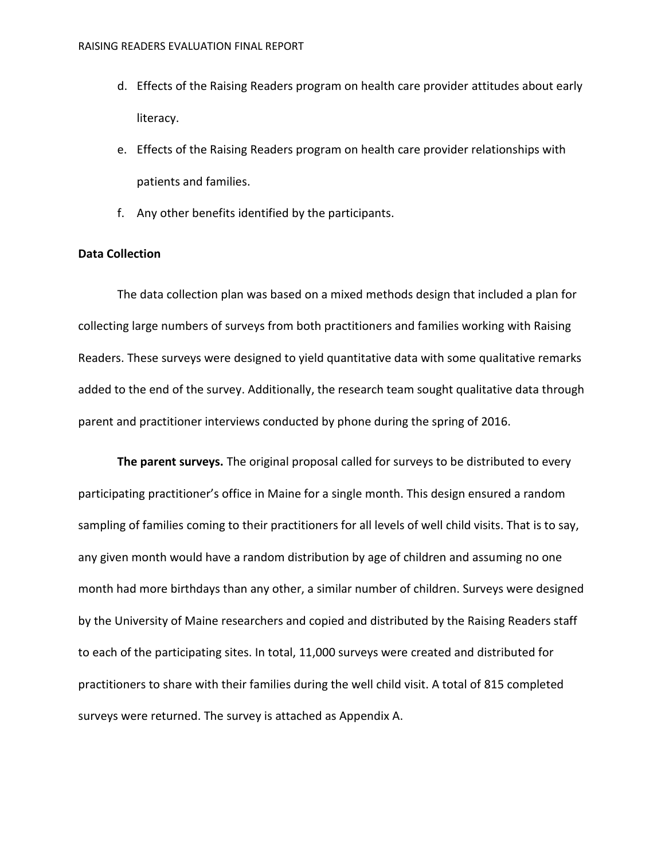- d. Effects of the Raising Readers program on health care provider attitudes about early literacy.
- e. Effects of the Raising Readers program on health care provider relationships with patients and families.
- f. Any other benefits identified by the participants.

## **Data Collection**

The data collection plan was based on a mixed methods design that included a plan for collecting large numbers of surveys from both practitioners and families working with Raising Readers. These surveys were designed to yield quantitative data with some qualitative remarks added to the end of the survey. Additionally, the research team sought qualitative data through parent and practitioner interviews conducted by phone during the spring of 2016.

**The parent surveys.** The original proposal called for surveys to be distributed to every participating practitioner's office in Maine for a single month. This design ensured a random sampling of families coming to their practitioners for all levels of well child visits. That is to say, any given month would have a random distribution by age of children and assuming no one month had more birthdays than any other, a similar number of children. Surveys were designed by the University of Maine researchers and copied and distributed by the Raising Readers staff to each of the participating sites. In total, 11,000 surveys were created and distributed for practitioners to share with their families during the well child visit. A total of 815 completed surveys were returned. The survey is attached as Appendix A.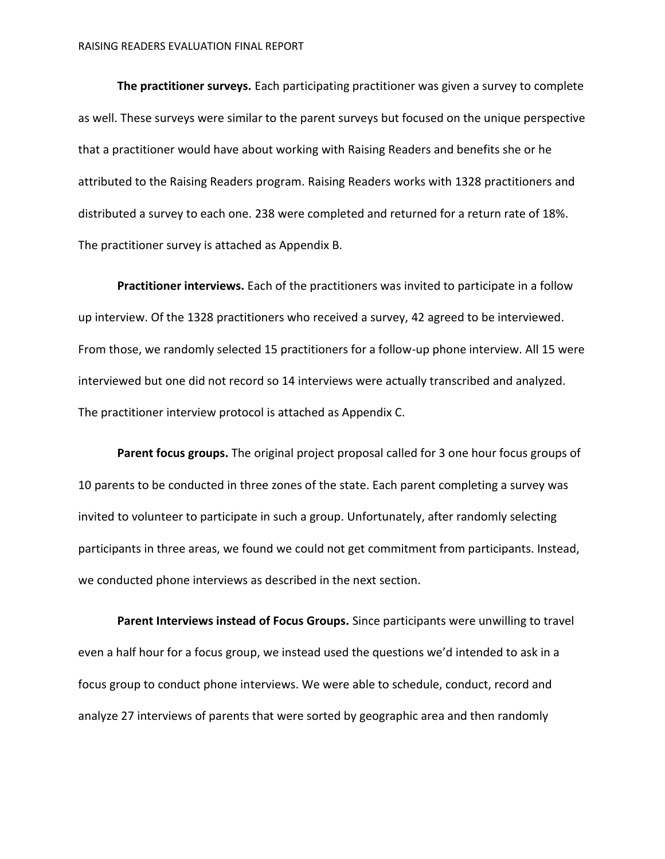**The practitioner surveys.** Each participating practitioner was given a survey to complete as well. These surveys were similar to the parent surveys but focused on the unique perspective that a practitioner would have about working with Raising Readers and benefits she or he attributed to the Raising Readers program. Raising Readers works with 1328 practitioners and distributed a survey to each one. 238 were completed and returned for a return rate of 18%. The practitioner survey is attached as Appendix B.

**Practitioner interviews.** Each of the practitioners was invited to participate in a follow up interview. Of the 1328 practitioners who received a survey, 42 agreed to be interviewed. From those, we randomly selected 15 practitioners for a follow-up phone interview. All 15 were interviewed but one did not record so 14 interviews were actually transcribed and analyzed. The practitioner interview protocol is attached as Appendix C.

**Parent focus groups.** The original project proposal called for 3 one hour focus groups of 10 parents to be conducted in three zones of the state. Each parent completing a survey was invited to volunteer to participate in such a group. Unfortunately, after randomly selecting participants in three areas, we found we could not get commitment from participants. Instead, we conducted phone interviews as described in the next section.

**Parent Interviews instead of Focus Groups.** Since participants were unwilling to travel even a half hour for a focus group, we instead used the questions we'd intended to ask in a focus group to conduct phone interviews. We were able to schedule, conduct, record and analyze 27 interviews of parents that were sorted by geographic area and then randomly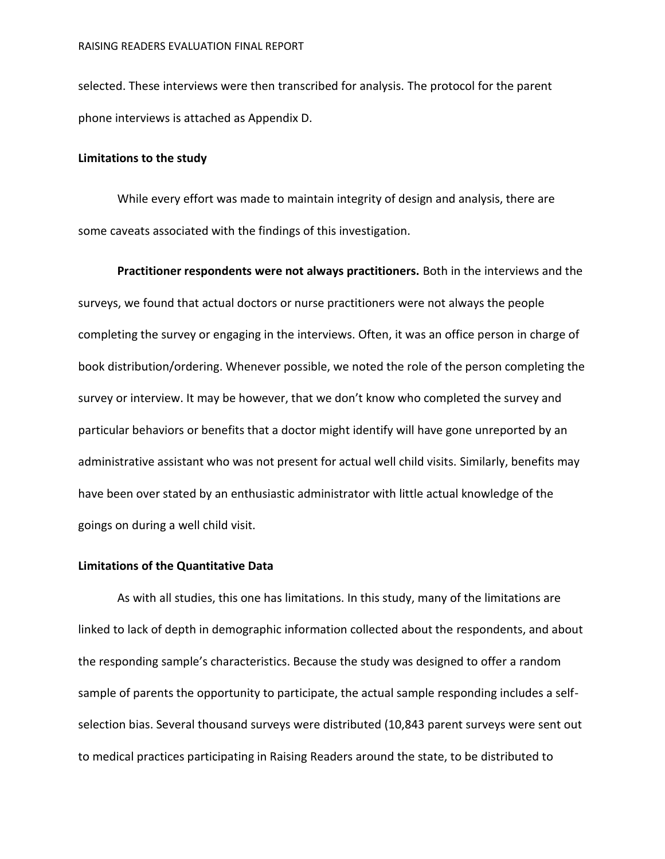selected. These interviews were then transcribed for analysis. The protocol for the parent phone interviews is attached as Appendix D.

### **Limitations to the study**

While every effort was made to maintain integrity of design and analysis, there are some caveats associated with the findings of this investigation.

**Practitioner respondents were not always practitioners.** Both in the interviews and the surveys, we found that actual doctors or nurse practitioners were not always the people completing the survey or engaging in the interviews. Often, it was an office person in charge of book distribution/ordering. Whenever possible, we noted the role of the person completing the survey or interview. It may be however, that we don't know who completed the survey and particular behaviors or benefits that a doctor might identify will have gone unreported by an administrative assistant who was not present for actual well child visits. Similarly, benefits may have been over stated by an enthusiastic administrator with little actual knowledge of the goings on during a well child visit.

# **Limitations of the Quantitative Data**

As with all studies, this one has limitations. In this study, many of the limitations are linked to lack of depth in demographic information collected about the respondents, and about the responding sample's characteristics. Because the study was designed to offer a random sample of parents the opportunity to participate, the actual sample responding includes a selfselection bias. Several thousand surveys were distributed (10,843 parent surveys were sent out to medical practices participating in Raising Readers around the state, to be distributed to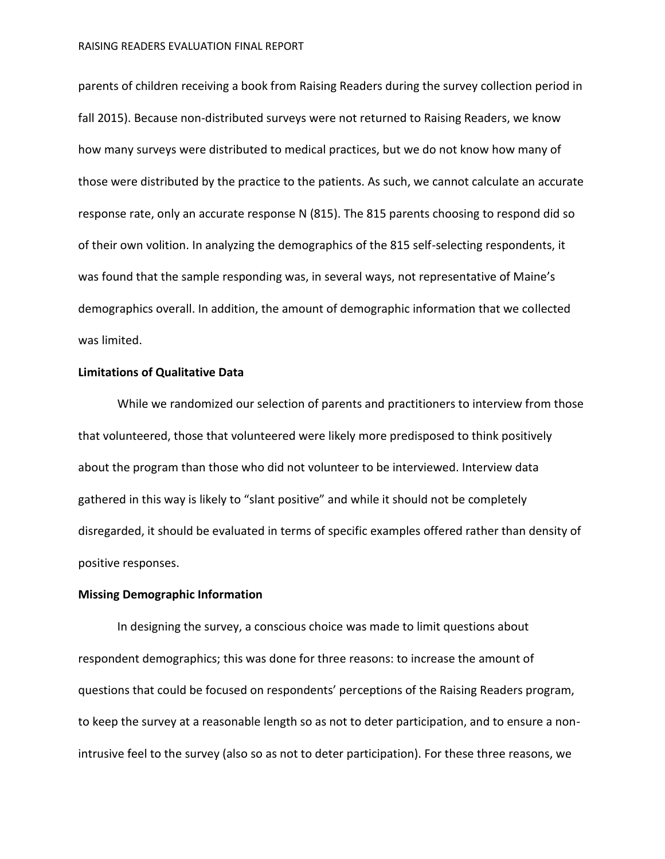parents of children receiving a book from Raising Readers during the survey collection period in fall 2015). Because non-distributed surveys were not returned to Raising Readers, we know how many surveys were distributed to medical practices, but we do not know how many of those were distributed by the practice to the patients. As such, we cannot calculate an accurate response rate, only an accurate response N (815). The 815 parents choosing to respond did so of their own volition. In analyzing the demographics of the 815 self-selecting respondents, it was found that the sample responding was, in several ways, not representative of Maine's demographics overall. In addition, the amount of demographic information that we collected was limited.

## **Limitations of Qualitative Data**

While we randomized our selection of parents and practitioners to interview from those that volunteered, those that volunteered were likely more predisposed to think positively about the program than those who did not volunteer to be interviewed. Interview data gathered in this way is likely to "slant positive" and while it should not be completely disregarded, it should be evaluated in terms of specific examples offered rather than density of positive responses.

#### **Missing Demographic Information**

In designing the survey, a conscious choice was made to limit questions about respondent demographics; this was done for three reasons: to increase the amount of questions that could be focused on respondents' perceptions of the Raising Readers program, to keep the survey at a reasonable length so as not to deter participation, and to ensure a nonintrusive feel to the survey (also so as not to deter participation). For these three reasons, we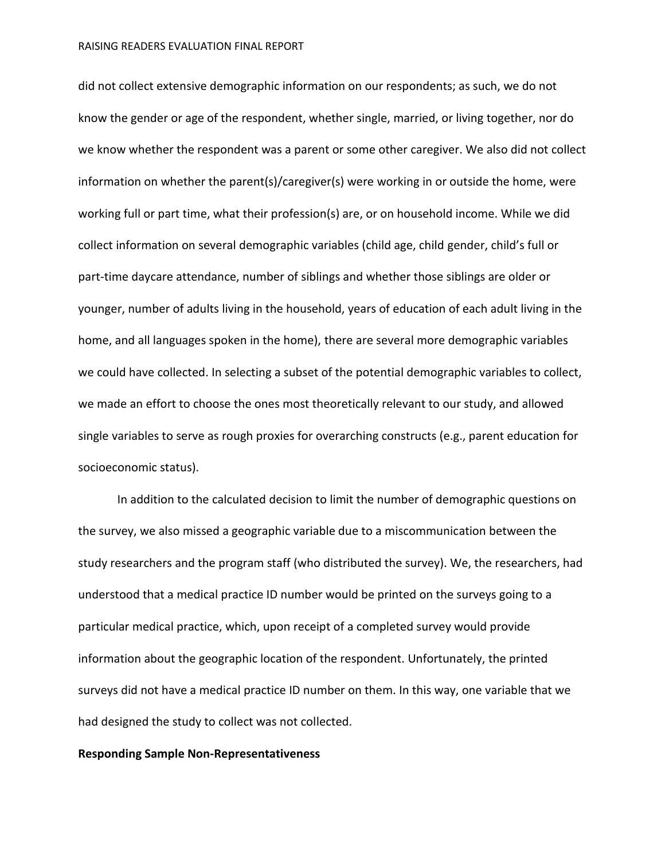did not collect extensive demographic information on our respondents; as such, we do not know the gender or age of the respondent, whether single, married, or living together, nor do we know whether the respondent was a parent or some other caregiver. We also did not collect information on whether the parent(s)/caregiver(s) were working in or outside the home, were working full or part time, what their profession(s) are, or on household income. While we did collect information on several demographic variables (child age, child gender, child's full or part-time daycare attendance, number of siblings and whether those siblings are older or younger, number of adults living in the household, years of education of each adult living in the home, and all languages spoken in the home), there are several more demographic variables we could have collected. In selecting a subset of the potential demographic variables to collect, we made an effort to choose the ones most theoretically relevant to our study, and allowed single variables to serve as rough proxies for overarching constructs (e.g., parent education for socioeconomic status).

In addition to the calculated decision to limit the number of demographic questions on the survey, we also missed a geographic variable due to a miscommunication between the study researchers and the program staff (who distributed the survey). We, the researchers, had understood that a medical practice ID number would be printed on the surveys going to a particular medical practice, which, upon receipt of a completed survey would provide information about the geographic location of the respondent. Unfortunately, the printed surveys did not have a medical practice ID number on them. In this way, one variable that we had designed the study to collect was not collected.

#### **Responding Sample Non-Representativeness**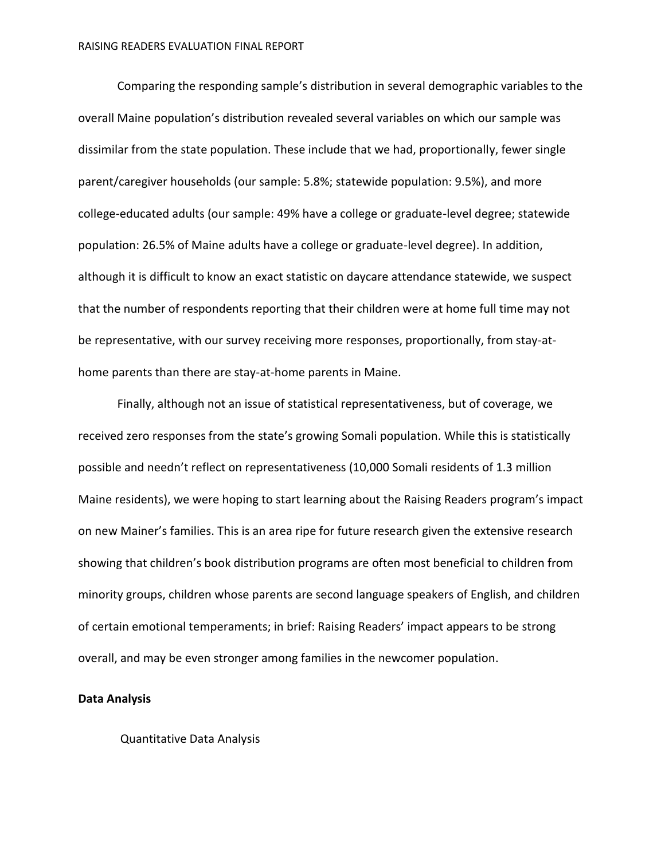Comparing the responding sample's distribution in several demographic variables to the overall Maine population's distribution revealed several variables on which our sample was dissimilar from the state population. These include that we had, proportionally, fewer single parent/caregiver households (our sample: 5.8%; statewide population: 9.5%), and more college-educated adults (our sample: 49% have a college or graduate-level degree; statewide population: 26.5% of Maine adults have a college or graduate-level degree). In addition, although it is difficult to know an exact statistic on daycare attendance statewide, we suspect that the number of respondents reporting that their children were at home full time may not be representative, with our survey receiving more responses, proportionally, from stay-athome parents than there are stay-at-home parents in Maine.

Finally, although not an issue of statistical representativeness, but of coverage, we received zero responses from the state's growing Somali population. While this is statistically possible and needn't reflect on representativeness (10,000 Somali residents of 1.3 million Maine residents), we were hoping to start learning about the Raising Readers program's impact on new Mainer's families. This is an area ripe for future research given the extensive research showing that children's book distribution programs are often most beneficial to children from minority groups, children whose parents are second language speakers of English, and children of certain emotional temperaments; in brief: Raising Readers' impact appears to be strong overall, and may be even stronger among families in the newcomer population.

#### **Data Analysis**

Quantitative Data Analysis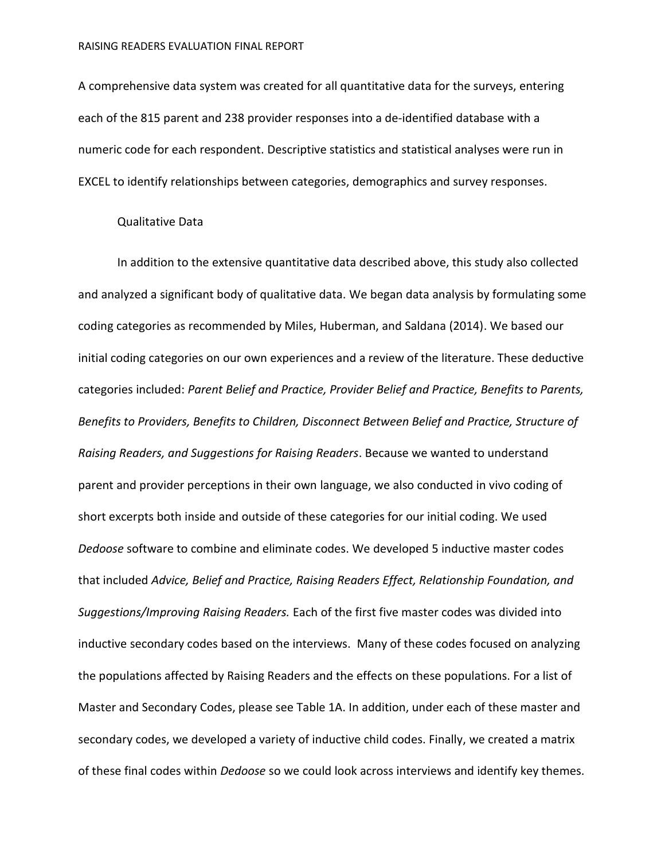A comprehensive data system was created for all quantitative data for the surveys, entering each of the 815 parent and 238 provider responses into a de-identified database with a numeric code for each respondent. Descriptive statistics and statistical analyses were run in EXCEL to identify relationships between categories, demographics and survey responses.

### Qualitative Data

In addition to the extensive quantitative data described above, this study also collected and analyzed a significant body of qualitative data. We began data analysis by formulating some coding categories as recommended by Miles, Huberman, and Saldana (2014). We based our initial coding categories on our own experiences and a review of the literature. These deductive categories included: *Parent Belief and Practice, Provider Belief and Practice, Benefits to Parents, Benefits to Providers, Benefits to Children, Disconnect Between Belief and Practice, Structure of Raising Readers, and Suggestions for Raising Readers*. Because we wanted to understand parent and provider perceptions in their own language, we also conducted in vivo coding of short excerpts both inside and outside of these categories for our initial coding. We used *Dedoose* software to combine and eliminate codes. We developed 5 inductive master codes that included *Advice, Belief and Practice, Raising Readers Effect, Relationship Foundation, and Suggestions/Improving Raising Readers.* Each of the first five master codes was divided into inductive secondary codes based on the interviews. Many of these codes focused on analyzing the populations affected by Raising Readers and the effects on these populations. For a list of Master and Secondary Codes, please see Table 1A. In addition, under each of these master and secondary codes, we developed a variety of inductive child codes. Finally, we created a matrix of these final codes within *Dedoose* so we could look across interviews and identify key themes.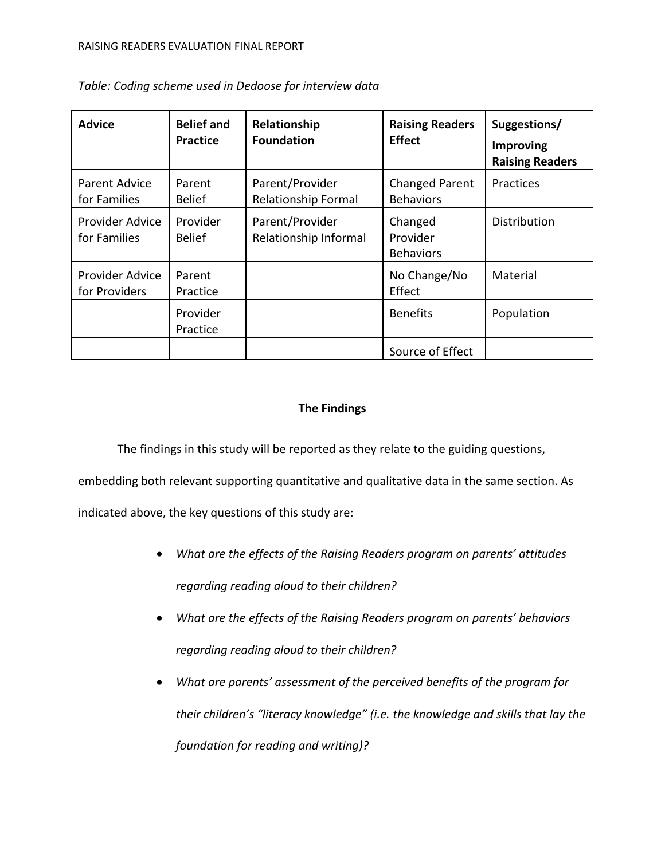| <b>Advice</b>                    | <b>Belief and</b><br><b>Practice</b> | Relationship<br><b>Foundation</b>        | <b>Raising Readers</b><br><b>Effect</b>   | Suggestions/<br><b>Improving</b><br><b>Raising Readers</b> |
|----------------------------------|--------------------------------------|------------------------------------------|-------------------------------------------|------------------------------------------------------------|
| Parent Advice<br>for Families    | Parent<br><b>Belief</b>              | Parent/Provider<br>Relationship Formal   | <b>Changed Parent</b><br><b>Behaviors</b> | Practices                                                  |
| Provider Advice<br>for Families  | Provider<br><b>Belief</b>            | Parent/Provider<br>Relationship Informal | Changed<br>Provider<br><b>Behaviors</b>   | Distribution                                               |
| Provider Advice<br>for Providers | Parent<br>Practice                   |                                          | No Change/No<br>Effect                    | Material                                                   |
|                                  | Provider<br>Practice                 |                                          | <b>Benefits</b>                           | Population                                                 |
|                                  |                                      |                                          | Source of Effect                          |                                                            |

*Table: Coding scheme used in Dedoose for interview data*

# **The Findings**

The findings in this study will be reported as they relate to the guiding questions,

embedding both relevant supporting quantitative and qualitative data in the same section. As

indicated above, the key questions of this study are:

- *What are the effects of the Raising Readers program on parents' attitudes regarding reading aloud to their children?*
- *What are the effects of the Raising Readers program on parents' behaviors regarding reading aloud to their children?*
- *What are parents' assessment of the perceived benefits of the program for their children's "literacy knowledge" (i.e. the knowledge and skills that lay the foundation for reading and writing)?*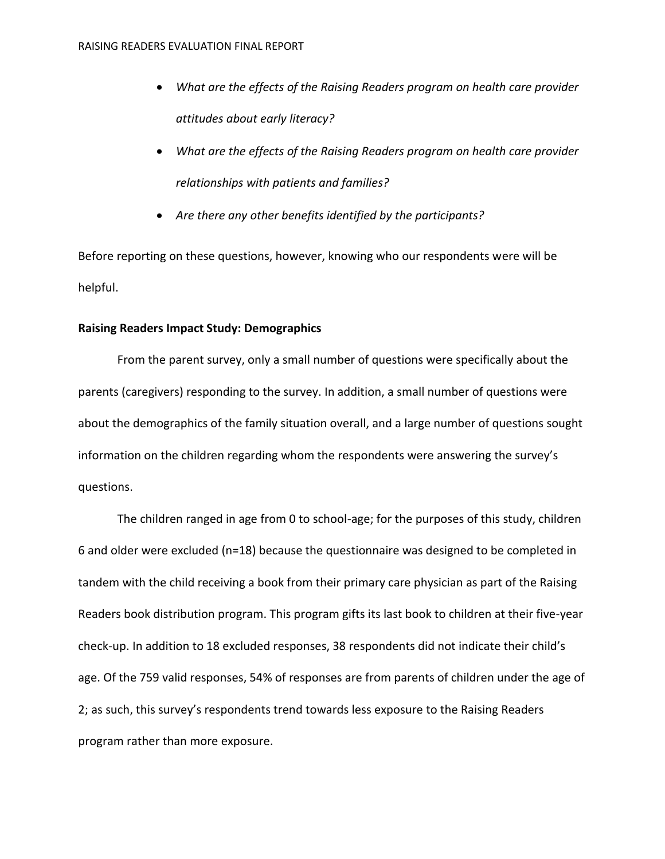- *What are the effects of the Raising Readers program on health care provider attitudes about early literacy?*
- *What are the effects of the Raising Readers program on health care provider relationships with patients and families?*
- *Are there any other benefits identified by the participants?*

Before reporting on these questions, however, knowing who our respondents were will be helpful.

## **Raising Readers Impact Study: Demographics**

From the parent survey, only a small number of questions were specifically about the parents (caregivers) responding to the survey. In addition, a small number of questions were about the demographics of the family situation overall, and a large number of questions sought information on the children regarding whom the respondents were answering the survey's questions.

The children ranged in age from 0 to school-age; for the purposes of this study, children 6 and older were excluded (n=18) because the questionnaire was designed to be completed in tandem with the child receiving a book from their primary care physician as part of the Raising Readers book distribution program. This program gifts its last book to children at their five-year check-up. In addition to 18 excluded responses, 38 respondents did not indicate their child's age. Of the 759 valid responses, 54% of responses are from parents of children under the age of 2; as such, this survey's respondents trend towards less exposure to the Raising Readers program rather than more exposure.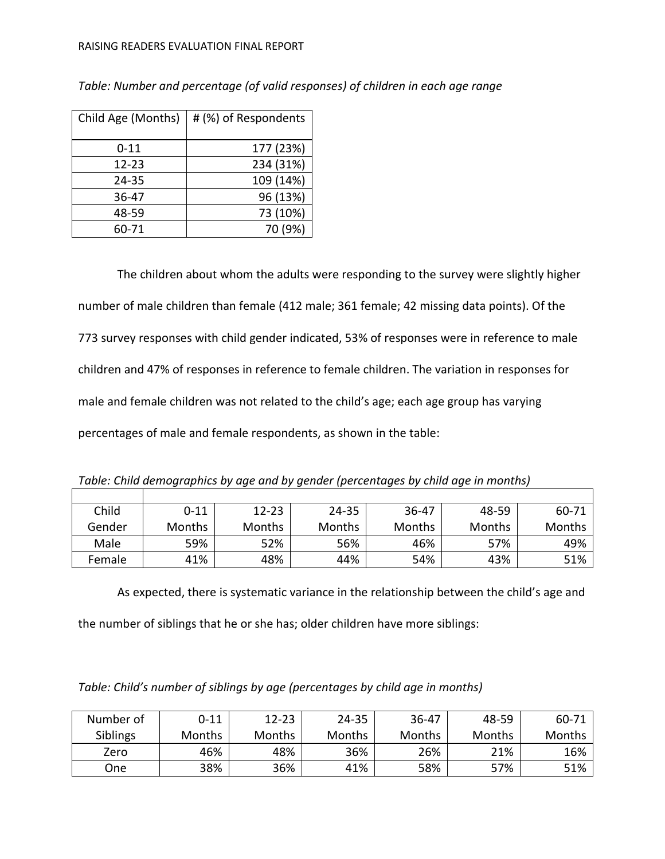#### RAISING READERS EVALUATION FINAL REPORT

| Child Age (Months) | # (%) of Respondents |
|--------------------|----------------------|
| $0 - 11$           | 177 (23%)            |
| $12 - 23$          | 234 (31%)            |
| 24-35              | 109 (14%)            |
| 36-47              | 96 (13%)             |
| 48-59              | 73 (10%)             |
| 60-71              | 70 (9%)              |

*Table: Number and percentage (of valid responses) of children in each age range* 

The children about whom the adults were responding to the survey were slightly higher number of male children than female (412 male; 361 female; 42 missing data points). Of the 773 survey responses with child gender indicated, 53% of responses were in reference to male children and 47% of responses in reference to female children. The variation in responses for male and female children was not related to the child's age; each age group has varying percentages of male and female respondents, as shown in the table:

|  |  | Table: Child demographics by age and by gender (percentages by child age in months) |
|--|--|-------------------------------------------------------------------------------------|
|  |  |                                                                                     |

| Child  | $0 - 11$      | $12 - 23$     | $24 - 35$     | $36 - 47$ | 48-59  | 60-71  |
|--------|---------------|---------------|---------------|-----------|--------|--------|
| Gender | <b>Months</b> | <b>Months</b> | <b>Months</b> | Months    | Months | Months |
| Male   | 59%           | 52%           | 56%           | 46%       | 57%    | 49%    |
| Female | 41%           | 48%           | 44%           | 54%       | 43%    | 51%    |

┑

As expected, there is systematic variance in the relationship between the child's age and the number of siblings that he or she has; older children have more siblings:

*Table: Child's number of siblings by age (percentages by child age in months)*

| Number of       | $0 - 11$      | $12 - 23$ | $24 - 35$ | $36 - 47$ | 48-59  | 60-71  |
|-----------------|---------------|-----------|-----------|-----------|--------|--------|
| <b>Siblings</b> | <b>Months</b> | Months    | Months    | Months    | Months | Months |
| Zero            | 46%           | 48%       | 36%       | 26%       | 21%    | 16%    |
| One             | 38%           | 36%       | 41%       | 58%       | 57%    | 51%    |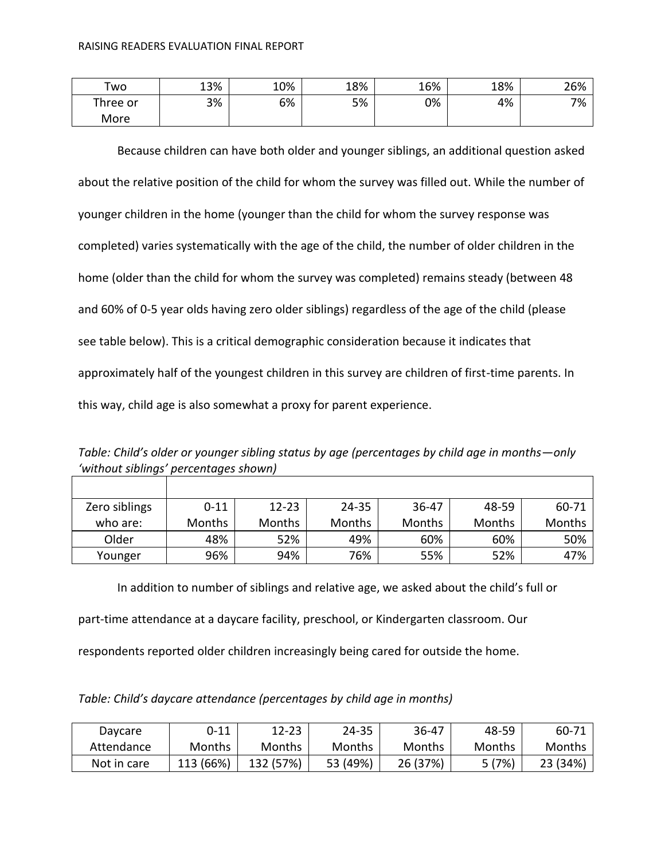| Two      | 13% | 10% | 18% | 16% | 18% | 26% |
|----------|-----|-----|-----|-----|-----|-----|
| Three or | 3%  | 6%  | 5%  | 0%  | 4%  | 7%  |
| More     |     |     |     |     |     |     |

Because children can have both older and younger siblings, an additional question asked about the relative position of the child for whom the survey was filled out. While the number of younger children in the home (younger than the child for whom the survey response was completed) varies systematically with the age of the child, the number of older children in the home (older than the child for whom the survey was completed) remains steady (between 48 and 60% of 0-5 year olds having zero older siblings) regardless of the age of the child (please see table below). This is a critical demographic consideration because it indicates that approximately half of the youngest children in this survey are children of first-time parents. In this way, child age is also somewhat a proxy for parent experience.

*Table: Child's older or younger sibling status by age (percentages by child age in months—only 'without siblings' percentages shown)*

| Zero siblings | $0 - 11$      | $12 - 23$     | 24-35  | 36-47         | 48-59         | 60-71         |
|---------------|---------------|---------------|--------|---------------|---------------|---------------|
| who are:      | <b>Months</b> | <b>Months</b> | Months | <b>Months</b> | <b>Months</b> | <b>Months</b> |
| Older         | 48%           | 52%           | 49%    | 60%           | 60%           | 50%           |
| Younger       | 96%           | 94%           | 76%    | 55%           | 52%           | 47%           |

In addition to number of siblings and relative age, we asked about the child's full or

part-time attendance at a daycare facility, preschool, or Kindergarten classroom. Our

respondents reported older children increasingly being cared for outside the home.

| Table: Child's daycare attendance (percentages by child age in months) |  |  |
|------------------------------------------------------------------------|--|--|
|------------------------------------------------------------------------|--|--|

| Daycare     | $0 - 11$  | $12 - 23$     | 24-35    | 36-47    | 48-59  | $60-71$  |
|-------------|-----------|---------------|----------|----------|--------|----------|
| Attendance  | Months    | <b>Months</b> | Months   | Months   | Months | Months   |
| Not in care | 113 (66%) | 132 (57%)     | 53 (49%) | 26 (37%) | 5(7%)  | 23 (34%) |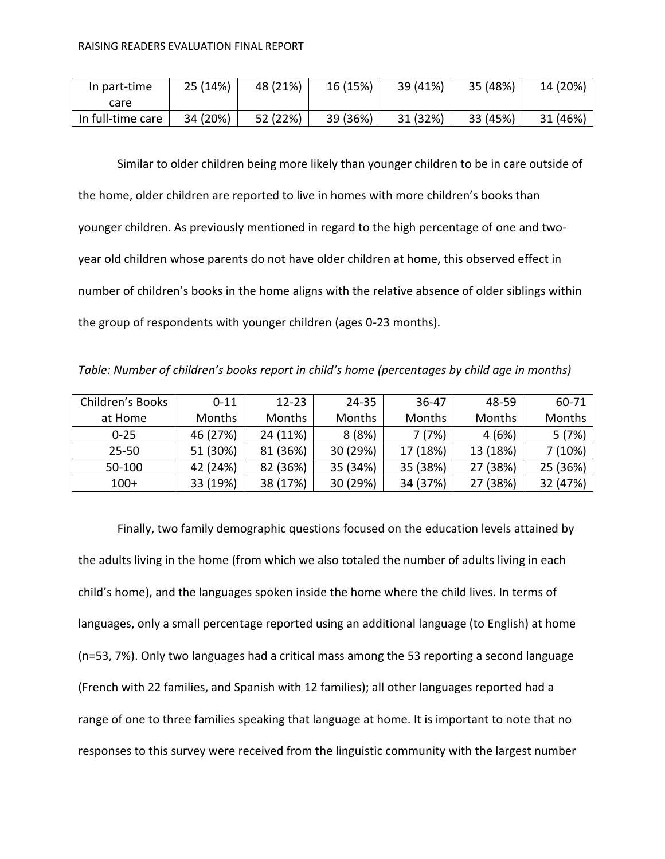| In part-time      | 25 (14%) | 48 (21%) | 16 (15%) | 39 (41%) | 35 (48%) | 14 (20%) |
|-------------------|----------|----------|----------|----------|----------|----------|
| care              |          |          |          |          |          |          |
| In full-time care | 34 (20%) | 52 (22%) | 39 (36%) | 31 (32%) | 33 (45%) | 31 (46%) |

Similar to older children being more likely than younger children to be in care outside of the home, older children are reported to live in homes with more children's books than younger children. As previously mentioned in regard to the high percentage of one and twoyear old children whose parents do not have older children at home, this observed effect in number of children's books in the home aligns with the relative absence of older siblings within the group of respondents with younger children (ages 0-23 months).

*Table: Number of children's books report in child's home (percentages by child age in months)*

| Children's Books | $0 - 11$ | $12 - 23$ | 24-35    | 36-47         | 48-59         | 60-71    |
|------------------|----------|-----------|----------|---------------|---------------|----------|
| at Home          | Months   | Months    | Months   | <b>Months</b> | <b>Months</b> | Months   |
| $0 - 25$         | 46 (27%) | 24 (11%)  | 8(8%)    | 7 (7%)        | 4 (6%)        | 5(7%)    |
| $25 - 50$        | 51 (30%) | 81 (36%)  | 30 (29%) | 17 (18%)      | 13 (18%)      | 7(10%)   |
| 50-100           | 42 (24%) | 82 (36%)  | 35 (34%) | 35 (38%)      | 27 (38%)      | 25 (36%) |
| $100+$           | 33 (19%) | 38 (17%)  | 30 (29%) | 34 (37%)      | 27 (38%)      | 32 (47%) |

Finally, two family demographic questions focused on the education levels attained by the adults living in the home (from which we also totaled the number of adults living in each child's home), and the languages spoken inside the home where the child lives. In terms of languages, only a small percentage reported using an additional language (to English) at home (n=53, 7%). Only two languages had a critical mass among the 53 reporting a second language (French with 22 families, and Spanish with 12 families); all other languages reported had a range of one to three families speaking that language at home. It is important to note that no responses to this survey were received from the linguistic community with the largest number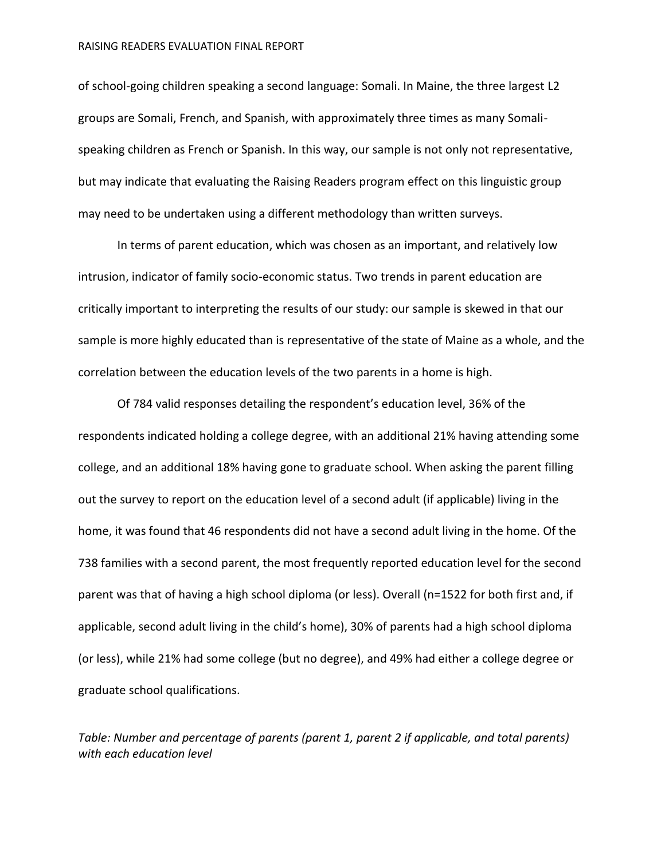#### RAISING READERS EVALUATION FINAL REPORT

of school-going children speaking a second language: Somali. In Maine, the three largest L2 groups are Somali, French, and Spanish, with approximately three times as many Somalispeaking children as French or Spanish. In this way, our sample is not only not representative, but may indicate that evaluating the Raising Readers program effect on this linguistic group may need to be undertaken using a different methodology than written surveys.

In terms of parent education, which was chosen as an important, and relatively low intrusion, indicator of family socio-economic status. Two trends in parent education are critically important to interpreting the results of our study: our sample is skewed in that our sample is more highly educated than is representative of the state of Maine as a whole, and the correlation between the education levels of the two parents in a home is high.

Of 784 valid responses detailing the respondent's education level, 36% of the respondents indicated holding a college degree, with an additional 21% having attending some college, and an additional 18% having gone to graduate school. When asking the parent filling out the survey to report on the education level of a second adult (if applicable) living in the home, it was found that 46 respondents did not have a second adult living in the home. Of the 738 families with a second parent, the most frequently reported education level for the second parent was that of having a high school diploma (or less). Overall (n=1522 for both first and, if applicable, second adult living in the child's home), 30% of parents had a high school diploma (or less), while 21% had some college (but no degree), and 49% had either a college degree or graduate school qualifications.

*Table: Number and percentage of parents (parent 1, parent 2 if applicable, and total parents) with each education level*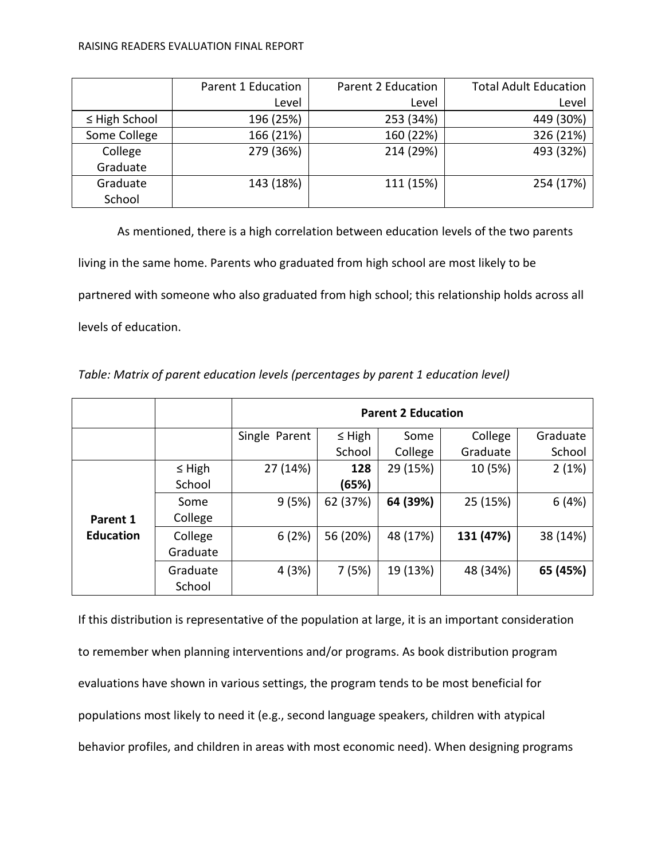#### RAISING READERS EVALUATION FINAL REPORT

|                    | Parent 1 Education | Parent 2 Education | <b>Total Adult Education</b> |
|--------------------|--------------------|--------------------|------------------------------|
|                    | Level              | Level              | Level                        |
| $\leq$ High School | 196 (25%)          | 253 (34%)          | 449 (30%)                    |
| Some College       | 166 (21%)          | 160 (22%)          | 326 (21%)                    |
| College            | 279 (36%)          | 214 (29%)          | 493 (32%)                    |
| Graduate           |                    |                    |                              |
| Graduate           | 143 (18%)          | 111 (15%)          | 254 (17%)                    |
| School             |                    |                    |                              |

As mentioned, there is a high correlation between education levels of the two parents living in the same home. Parents who graduated from high school are most likely to be partnered with someone who also graduated from high school; this relationship holds across all levels of education.

|                  |                     | <b>Parent 2 Education</b> |             |          |           |          |
|------------------|---------------------|---------------------------|-------------|----------|-----------|----------|
|                  |                     | Single Parent             | $\leq$ High | Some     | College   | Graduate |
|                  |                     |                           | School      | College  | Graduate  | School   |
|                  | $\leq$ High         | 27 (14%)                  | 128         | 29 (15%) | 10 (5%)   | 2(1%)    |
|                  | School              |                           | (65%)       |          |           |          |
|                  | Some                | 9(5%)                     | 62 (37%)    | 64 (39%) | 25 (15%)  | 6(4%)    |
| Parent 1         | College             |                           |             |          |           |          |
| <b>Education</b> | College<br>Graduate | 6(2%)                     | 56 (20%)    | 48 (17%) | 131 (47%) | 38 (14%) |
|                  | Graduate<br>School  | 4(3%)                     | 7(5%)       | 19 (13%) | 48 (34%)  | 65 (45%) |

*Table: Matrix of parent education levels (percentages by parent 1 education level)*

If this distribution is representative of the population at large, it is an important consideration to remember when planning interventions and/or programs. As book distribution program evaluations have shown in various settings, the program tends to be most beneficial for populations most likely to need it (e.g., second language speakers, children with atypical behavior profiles, and children in areas with most economic need). When designing programs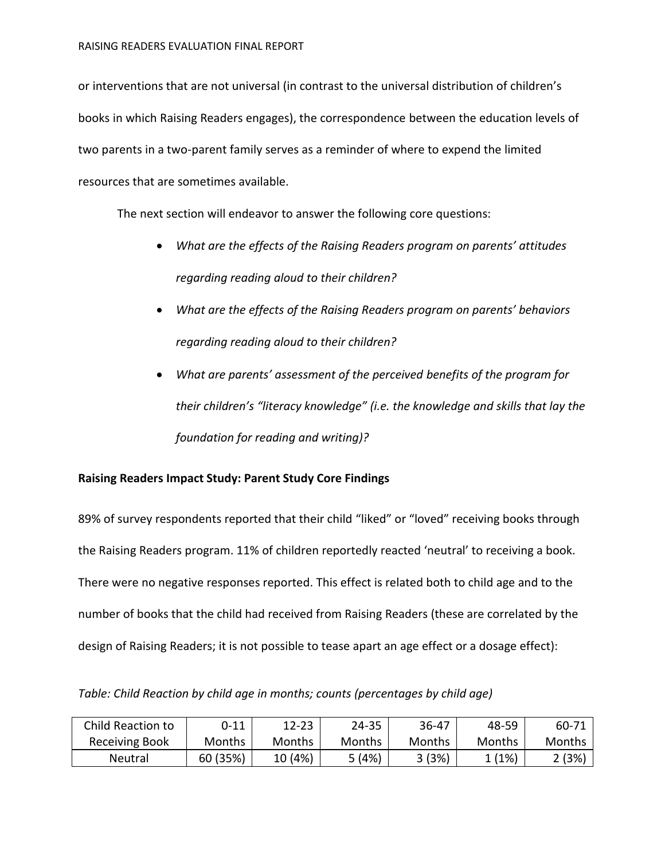or interventions that are not universal (in contrast to the universal distribution of children's books in which Raising Readers engages), the correspondence between the education levels of two parents in a two-parent family serves as a reminder of where to expend the limited resources that are sometimes available.

The next section will endeavor to answer the following core questions:

- *What are the effects of the Raising Readers program on parents' attitudes regarding reading aloud to their children?*
- *What are the effects of the Raising Readers program on parents' behaviors regarding reading aloud to their children?*
- *What are parents' assessment of the perceived benefits of the program for their children's "literacy knowledge" (i.e. the knowledge and skills that lay the foundation for reading and writing)?*

# **Raising Readers Impact Study: Parent Study Core Findings**

89% of survey respondents reported that their child "liked" or "loved" receiving books through the Raising Readers program. 11% of children reportedly reacted 'neutral' to receiving a book. There were no negative responses reported. This effect is related both to child age and to the number of books that the child had received from Raising Readers (these are correlated by the design of Raising Readers; it is not possible to tease apart an age effect or a dosage effect):

*Table: Child Reaction by child age in months; counts (percentages by child age)*

| Child Reaction to | ገ-11     | $12 - 23$ | 24-35  | 36-47  | 48-59  | $60-71$ |
|-------------------|----------|-----------|--------|--------|--------|---------|
| Receiving Book    | Months   | Months    | Months | Months | Months | Months  |
| Neutral           | 60 (35%) | 10 (4%)   | 5(4%)  | 3(3%)  | (1%)   | ?(3%)   |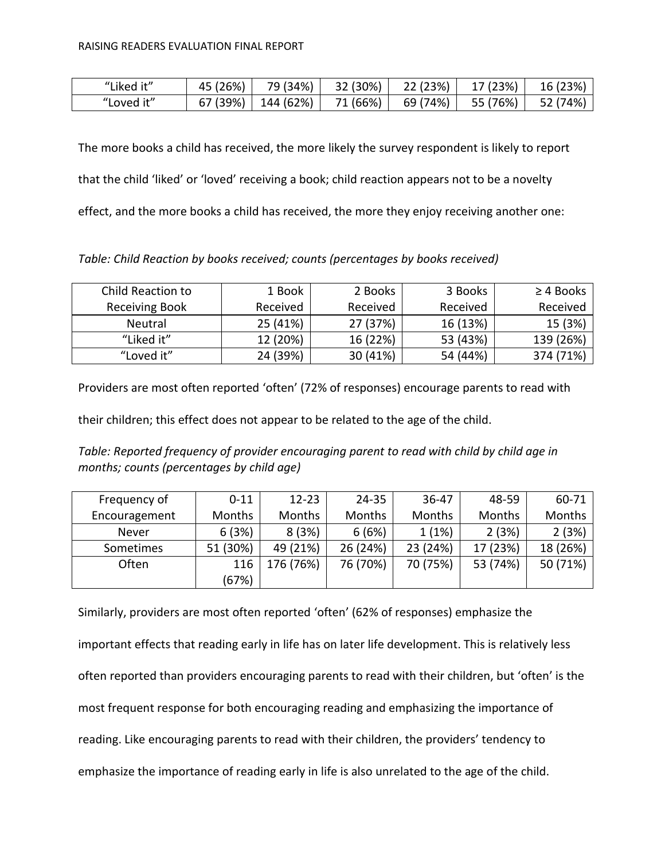| "Liked it" | 45 (26%) | 79 (34%)  | 32 (30%) | 22 (23%) | 17 (23%) | 16 (23%) |
|------------|----------|-----------|----------|----------|----------|----------|
| "Loved it" | 67 (39%) | 144 (62%) | 71 (66%) | 69 (74%) | 55 (76%) | 52 (74%) |

The more books a child has received, the more likely the survey respondent is likely to report that the child 'liked' or 'loved' receiving a book; child reaction appears not to be a novelty effect, and the more books a child has received, the more they enjoy receiving another one:

*Table: Child Reaction by books received; counts (percentages by books received)*

| Child Reaction to     | 1 Book   | 2 Books  | 3 Books  | $\geq$ 4 Books |
|-----------------------|----------|----------|----------|----------------|
| <b>Receiving Book</b> | Received | Received | Received | Received       |
| Neutral               | 25 (41%) | 27 (37%) | 16 (13%) | 15 (3%)        |
| "Liked it"            | 12 (20%) | 16 (22%) | 53 (43%) | 139 (26%)      |
| "Loved it"            | 24 (39%) | 30 (41%) | 54 (44%) | 374 (71%)      |

Providers are most often reported 'often' (72% of responses) encourage parents to read with

their children; this effect does not appear to be related to the age of the child.

*Table: Reported frequency of provider encouraging parent to read with child by child age in months; counts (percentages by child age)*

| Frequency of  | $0 - 11$      | $12 - 23$     | $24 - 35$ | 36-47    | 48-59    | $60 - 71$ |
|---------------|---------------|---------------|-----------|----------|----------|-----------|
| Encouragement | <b>Months</b> | <b>Months</b> | Months    | Months   | Months   | Months    |
| Never         | 6(3%)         | 8(3%)         | 6(6%)     | 1(1%)    | 2(3%)    | 2(3%)     |
| Sometimes     | 51 (30%)      | 49 (21%)      | 26 (24%)  | 23 (24%) | 17 (23%) | 18 (26%)  |
| Often         | 116           | 176 (76%)     | 76 (70%)  | 70 (75%) | 53 (74%) | 50 (71%)  |
|               | (67%)         |               |           |          |          |           |

Similarly, providers are most often reported 'often' (62% of responses) emphasize the important effects that reading early in life has on later life development. This is relatively less often reported than providers encouraging parents to read with their children, but 'often' is the most frequent response for both encouraging reading and emphasizing the importance of reading. Like encouraging parents to read with their children, the providers' tendency to emphasize the importance of reading early in life is also unrelated to the age of the child.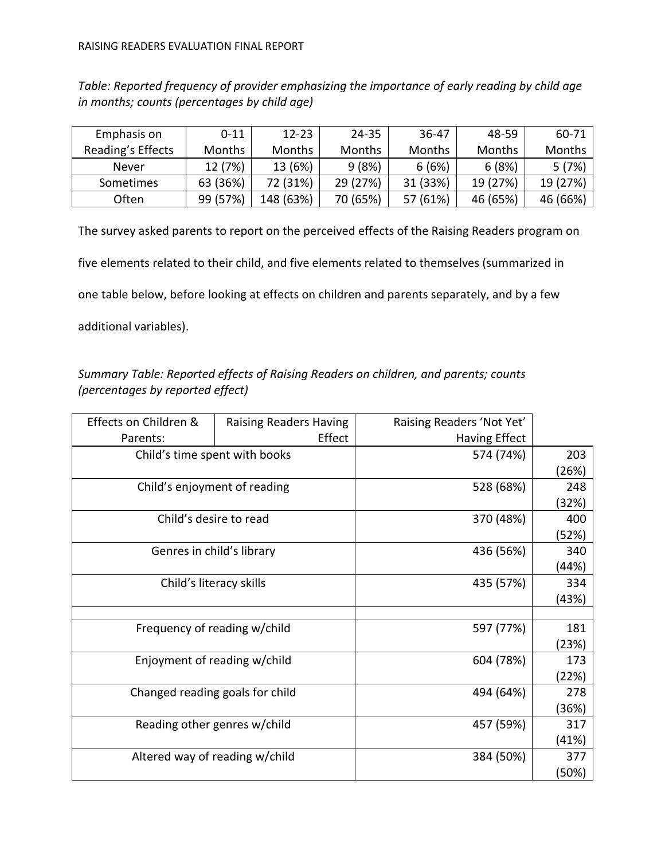*Table: Reported frequency of provider emphasizing the importance of early reading by child age in months; counts (percentages by child age)*

| Emphasis on       | $0 - 11$      | $12 - 23$     | 24-35         | 36-47         | 48-59         | 60-71    |
|-------------------|---------------|---------------|---------------|---------------|---------------|----------|
| Reading's Effects | <b>Months</b> | <b>Months</b> | <b>Months</b> | <b>Months</b> | <b>Months</b> | Months   |
| <b>Never</b>      | 12 (7%)       | 13 (6%)       | 9(8%)         | 6(6%)         | 6(8%)         | 5(7%)    |
| Sometimes         | 63 (36%)      | 72 (31%)      | 29 (27%)      | 31 (33%)      | 19 (27%)      | 19 (27%) |
| <b>Often</b>      | 99 (57%)      | 148 (63%)     | 70 (65%)      | 57 (61%)      | 46 (65%)      | 46 (66%) |

The survey asked parents to report on the perceived effects of the Raising Readers program on five elements related to their child, and five elements related to themselves (summarized in one table below, before looking at effects on children and parents separately, and by a few additional variables).

*Summary Table: Reported effects of Raising Readers on children, and parents; counts (percentages by reported effect)*

| Effects on Children &           | <b>Raising Readers Having</b> | Raising Readers 'Not Yet' |       |
|---------------------------------|-------------------------------|---------------------------|-------|
| Parents:                        | Effect                        | <b>Having Effect</b>      |       |
| Child's time spent with books   |                               | 574 (74%)                 | 203   |
|                                 |                               |                           | (26%) |
| Child's enjoyment of reading    |                               | 528 (68%)                 | 248   |
|                                 |                               |                           | (32%) |
| Child's desire to read          |                               | 370 (48%)                 | 400   |
|                                 |                               |                           | (52%) |
| Genres in child's library       |                               | 436 (56%)                 | 340   |
|                                 |                               |                           | (44%) |
| Child's literacy skills         |                               | 435 (57%)                 | 334   |
|                                 |                               |                           | (43%) |
|                                 |                               |                           |       |
| Frequency of reading w/child    |                               | 597 (77%)                 | 181   |
|                                 |                               |                           | (23%) |
| Enjoyment of reading w/child    |                               | 604 (78%)                 | 173   |
|                                 |                               |                           | (22%) |
| Changed reading goals for child |                               | 494 (64%)                 | 278   |
|                                 |                               |                           | (36%) |
| Reading other genres w/child    |                               | 457 (59%)                 | 317   |
|                                 |                               |                           | (41%) |
| Altered way of reading w/child  |                               | 384 (50%)                 | 377   |
|                                 |                               |                           | (50%) |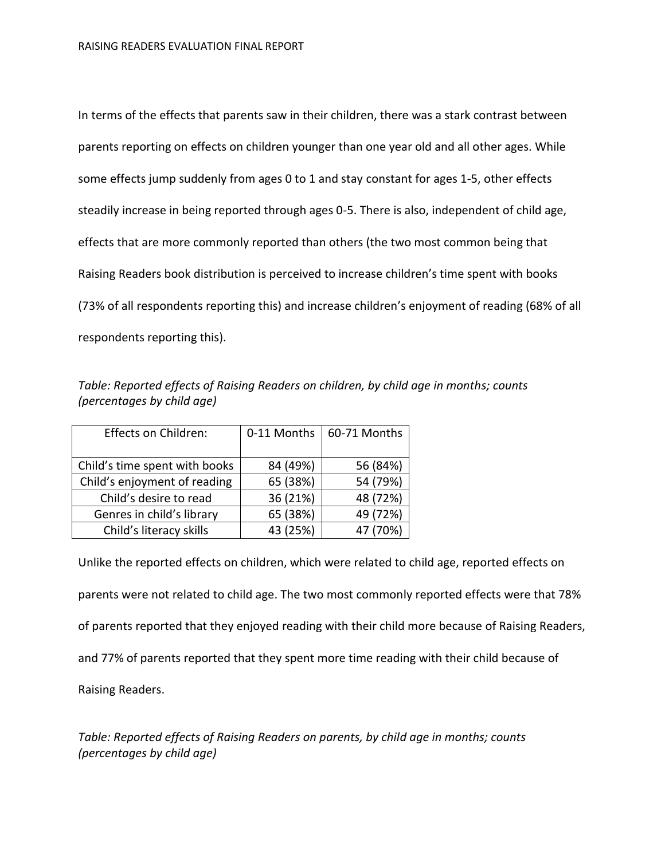In terms of the effects that parents saw in their children, there was a stark contrast between parents reporting on effects on children younger than one year old and all other ages. While some effects jump suddenly from ages 0 to 1 and stay constant for ages 1-5, other effects steadily increase in being reported through ages 0-5. There is also, independent of child age, effects that are more commonly reported than others (the two most common being that Raising Readers book distribution is perceived to increase children's time spent with books (73% of all respondents reporting this) and increase children's enjoyment of reading (68% of all respondents reporting this).

*Table: Reported effects of Raising Readers on children, by child age in months; counts (percentages by child age)*

| Effects on Children:          | 0-11 Months | 60-71 Months |
|-------------------------------|-------------|--------------|
| Child's time spent with books | 84 (49%)    | 56 (84%)     |
| Child's enjoyment of reading  | 65 (38%)    | 54 (79%)     |
| Child's desire to read        | 36 (21%)    | 48 (72%)     |
| Genres in child's library     | 65 (38%)    | 49 (72%)     |
| Child's literacy skills       | 43 (25%)    | 47 (70%)     |

Unlike the reported effects on children, which were related to child age, reported effects on parents were not related to child age. The two most commonly reported effects were that 78% of parents reported that they enjoyed reading with their child more because of Raising Readers, and 77% of parents reported that they spent more time reading with their child because of Raising Readers.

*Table: Reported effects of Raising Readers on parents, by child age in months; counts (percentages by child age)*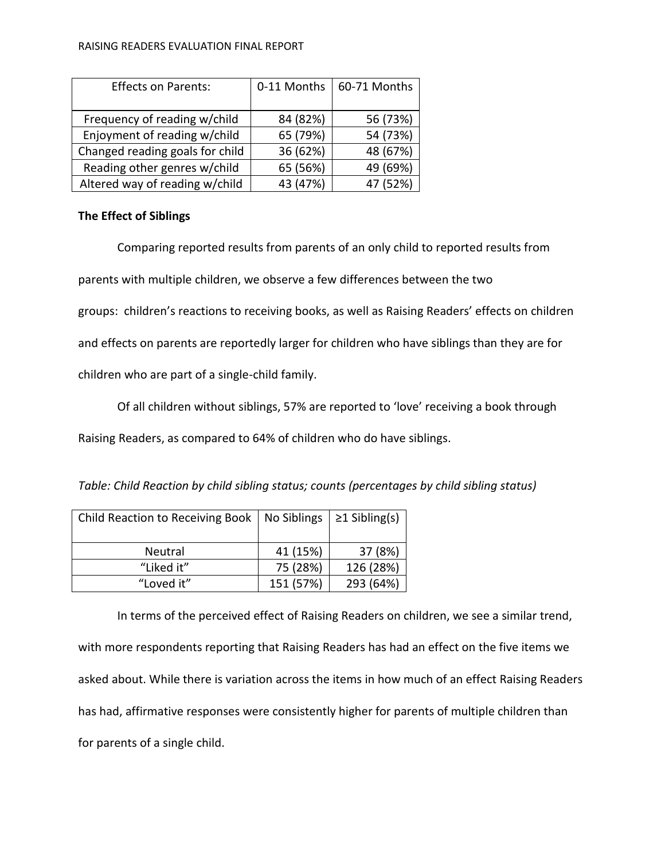#### RAISING READERS EVALUATION FINAL REPORT

| <b>Effects on Parents:</b>      | 0-11 Months | 60-71 Months |
|---------------------------------|-------------|--------------|
|                                 |             |              |
| Frequency of reading w/child    | 84 (82%)    | 56 (73%)     |
| Enjoyment of reading w/child    | 65 (79%)    | 54 (73%)     |
| Changed reading goals for child | 36 (62%)    | 48 (67%)     |
| Reading other genres w/child    | 65 (56%)    | 49 (69%)     |
| Altered way of reading w/child  | 43 (47%)    | 47 (52%)     |

# **The Effect of Siblings**

Comparing reported results from parents of an only child to reported results from parents with multiple children, we observe a few differences between the two groups: children's reactions to receiving books, as well as Raising Readers' effects on children and effects on parents are reportedly larger for children who have siblings than they are for children who are part of a single-child family.

Of all children without siblings, 57% are reported to 'love' receiving a book through

Raising Readers, as compared to 64% of children who do have siblings.

| Table: Child Reaction by child sibling status; counts (percentages by child sibling status) |  |  |
|---------------------------------------------------------------------------------------------|--|--|
|---------------------------------------------------------------------------------------------|--|--|

| Child Reaction to Receiving Book | No Siblings | $\geq$ 1 Sibling(s) |
|----------------------------------|-------------|---------------------|
| <b>Neutral</b>                   | 41 (15%)    | 37 (8%)             |
| "Liked it"                       | 75 (28%)    | 126 (28%)           |
| "Loved it"                       | 151 (57%)   | 293 (64%)           |

In terms of the perceived effect of Raising Readers on children, we see a similar trend, with more respondents reporting that Raising Readers has had an effect on the five items we asked about. While there is variation across the items in how much of an effect Raising Readers has had, affirmative responses were consistently higher for parents of multiple children than for parents of a single child.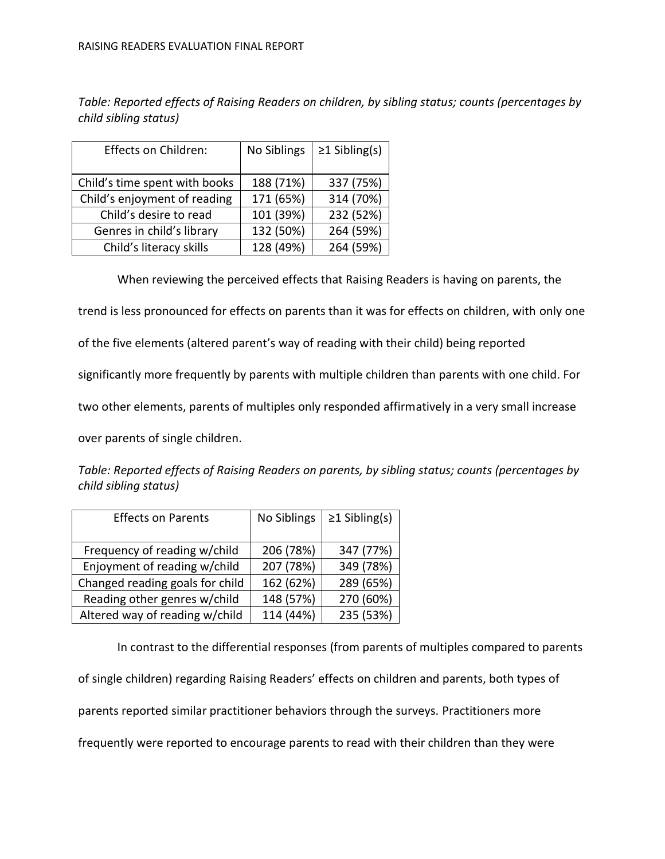*Table: Reported effects of Raising Readers on children, by sibling status; counts (percentages by child sibling status)*

| Effects on Children:          | No Siblings | $\geq$ 1 Sibling(s) |
|-------------------------------|-------------|---------------------|
| Child's time spent with books | 188 (71%)   | 337 (75%)           |
| Child's enjoyment of reading  | 171 (65%)   | 314 (70%)           |
| Child's desire to read        | 101 (39%)   | 232 (52%)           |
| Genres in child's library     | 132 (50%)   | 264 (59%)           |
| Child's literacy skills       | 128 (49%)   | 264 (59%)           |

When reviewing the perceived effects that Raising Readers is having on parents, the

trend is less pronounced for effects on parents than it was for effects on children, with only one

of the five elements (altered parent's way of reading with their child) being reported

significantly more frequently by parents with multiple children than parents with one child. For

two other elements, parents of multiples only responded affirmatively in a very small increase

over parents of single children.

*Table: Reported effects of Raising Readers on parents, by sibling status; counts (percentages by child sibling status)*

| <b>Effects on Parents</b>       | No Siblings | $\geq$ 1 Sibling(s) |
|---------------------------------|-------------|---------------------|
| Frequency of reading w/child    | 206 (78%)   | 347 (77%)           |
| Enjoyment of reading w/child    | 207 (78%)   | 349 (78%)           |
| Changed reading goals for child | 162 (62%)   | 289 (65%)           |
| Reading other genres w/child    | 148 (57%)   | 270 (60%)           |
| Altered way of reading w/child  | 114 (44%)   | 235 (53%)           |

In contrast to the differential responses (from parents of multiples compared to parents of single children) regarding Raising Readers' effects on children and parents, both types of parents reported similar practitioner behaviors through the surveys. Practitioners more frequently were reported to encourage parents to read with their children than they were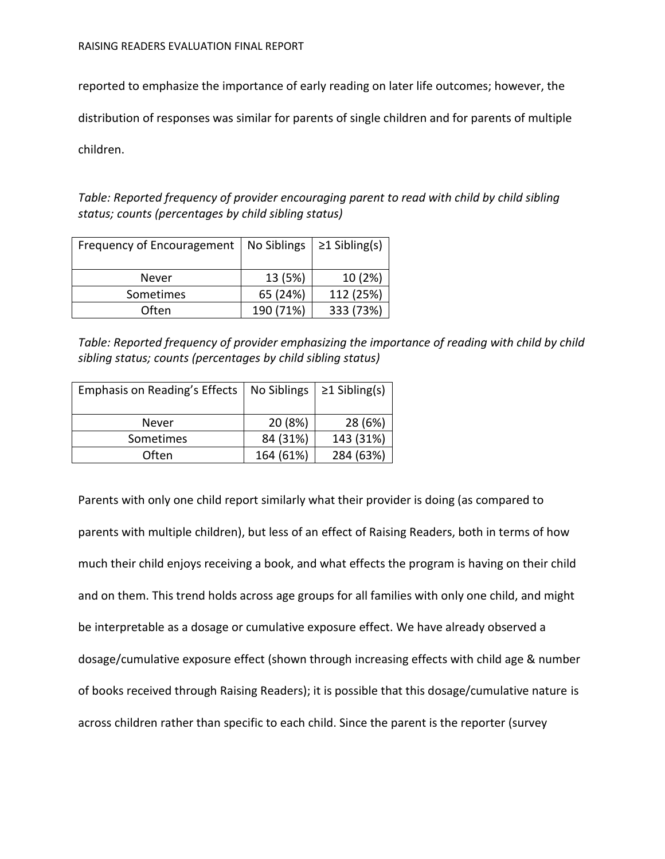RAISING READERS EVALUATION FINAL REPORT

reported to emphasize the importance of early reading on later life outcomes; however, the

distribution of responses was similar for parents of single children and for parents of multiple

children.

*Table: Reported frequency of provider encouraging parent to read with child by child sibling status; counts (percentages by child sibling status)*

| Frequency of Encouragement | No Siblings | $\geq$ 1 Sibling(s) |
|----------------------------|-------------|---------------------|
| Never                      | 13 (5%)     | 10 (2%)             |
| Sometimes                  | 65 (24%)    | 112 (25%)           |
| Often                      | 190 (71%)   | 333 (73%)           |

*Table: Reported frequency of provider emphasizing the importance of reading with child by child sibling status; counts (percentages by child sibling status)*

| Emphasis on Reading's Effects | No Siblings | $\geq$ 1 Sibling(s) |
|-------------------------------|-------------|---------------------|
| Never                         | 20 (8%)     | 28 (6%)             |
| Sometimes                     | 84 (31%)    | 143 (31%)           |
| <b>Often</b>                  | 164 (61%)   | 284 (63%)           |

Parents with only one child report similarly what their provider is doing (as compared to parents with multiple children), but less of an effect of Raising Readers, both in terms of how much their child enjoys receiving a book, and what effects the program is having on their child and on them. This trend holds across age groups for all families with only one child, and might be interpretable as a dosage or cumulative exposure effect. We have already observed a dosage/cumulative exposure effect (shown through increasing effects with child age & number of books received through Raising Readers); it is possible that this dosage/cumulative nature is across children rather than specific to each child. Since the parent is the reporter (survey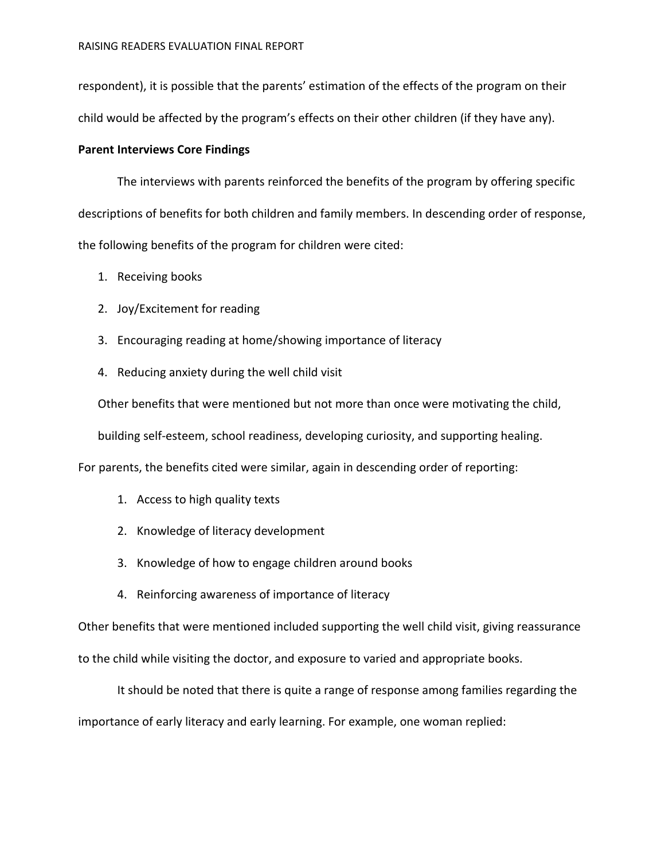respondent), it is possible that the parents' estimation of the effects of the program on their child would be affected by the program's effects on their other children (if they have any).

### **Parent Interviews Core Findings**

The interviews with parents reinforced the benefits of the program by offering specific descriptions of benefits for both children and family members. In descending order of response, the following benefits of the program for children were cited:

- 1. Receiving books
- 2. Joy/Excitement for reading
- 3. Encouraging reading at home/showing importance of literacy
- 4. Reducing anxiety during the well child visit

Other benefits that were mentioned but not more than once were motivating the child,

building self-esteem, school readiness, developing curiosity, and supporting healing.

For parents, the benefits cited were similar, again in descending order of reporting:

- 1. Access to high quality texts
- 2. Knowledge of literacy development
- 3. Knowledge of how to engage children around books
- 4. Reinforcing awareness of importance of literacy

Other benefits that were mentioned included supporting the well child visit, giving reassurance to the child while visiting the doctor, and exposure to varied and appropriate books.

It should be noted that there is quite a range of response among families regarding the importance of early literacy and early learning. For example, one woman replied: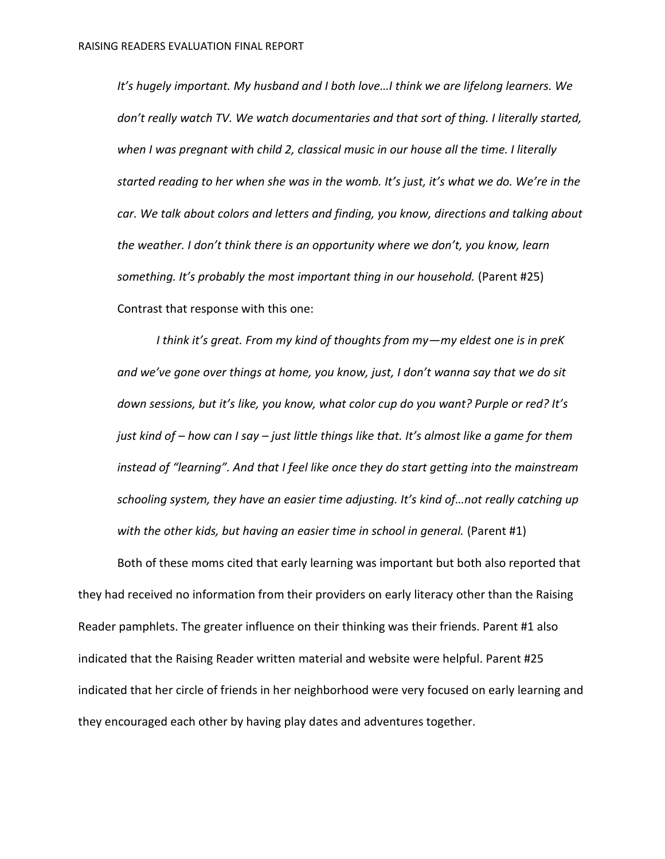*It's hugely important. My husband and I both love…I think we are lifelong learners. We don't really watch TV. We watch documentaries and that sort of thing. I literally started, when I was pregnant with child 2, classical music in our house all the time. I literally started reading to her when she was in the womb. It's just, it's what we do. We're in the car. We talk about colors and letters and finding, you know, directions and talking about the weather. I don't think there is an opportunity where we don't, you know, learn something. It's probably the most important thing in our household.* (Parent #25) Contrast that response with this one:

*I think it's great. From my kind of thoughts from my—my eldest one is in preK and we've gone over things at home, you know, just, I don't wanna say that we do sit down sessions, but it's like, you know, what color cup do you want? Purple or red? It's just kind of – how can I say – just little things like that. It's almost like a game for them instead of "learning". And that I feel like once they do start getting into the mainstream schooling system, they have an easier time adjusting. It's kind of…not really catching up*  with the other kids, but having an easier time in school in general. (Parent #1)

Both of these moms cited that early learning was important but both also reported that they had received no information from their providers on early literacy other than the Raising Reader pamphlets. The greater influence on their thinking was their friends. Parent #1 also indicated that the Raising Reader written material and website were helpful. Parent #25 indicated that her circle of friends in her neighborhood were very focused on early learning and they encouraged each other by having play dates and adventures together.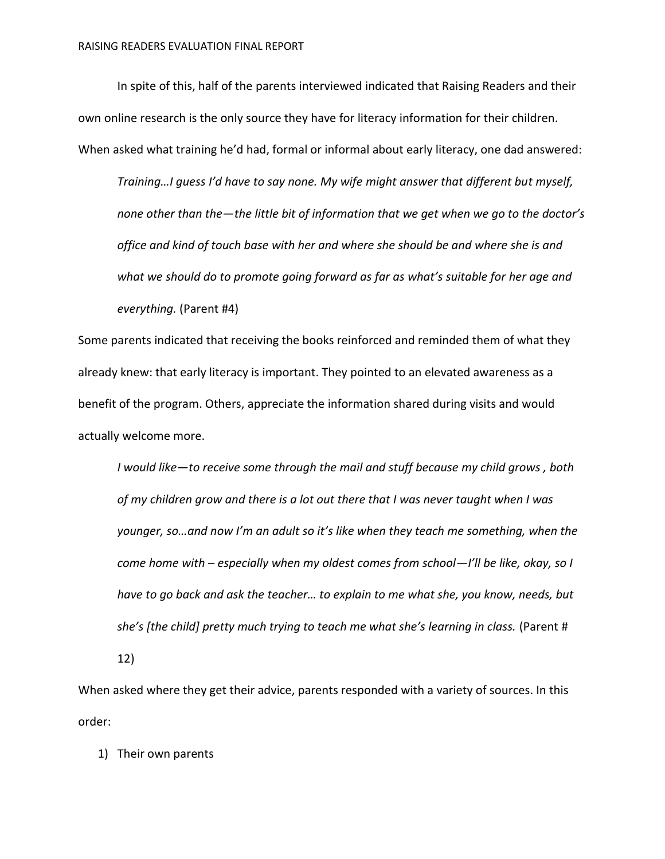In spite of this, half of the parents interviewed indicated that Raising Readers and their own online research is the only source they have for literacy information for their children. When asked what training he'd had, formal or informal about early literacy, one dad answered:

*Training…I guess I'd have to say none. My wife might answer that different but myself, none other than the—the little bit of information that we get when we go to the doctor's office and kind of touch base with her and where she should be and where she is and*  what we should do to promote going forward as far as what's suitable for her age and *everything.* (Parent #4)

Some parents indicated that receiving the books reinforced and reminded them of what they already knew: that early literacy is important. They pointed to an elevated awareness as a benefit of the program. Others, appreciate the information shared during visits and would actually welcome more.

*I would like—to receive some through the mail and stuff because my child grows , both of my children grow and there is a lot out there that I was never taught when I was younger, so…and now I'm an adult so it's like when they teach me something, when the come home with – especially when my oldest comes from school—I'll be like, okay, so I have to go back and ask the teacher… to explain to me what she, you know, needs, but she's [the child] pretty much trying to teach me what she's learning in class.* (Parent #

12)

When asked where they get their advice, parents responded with a variety of sources. In this order:

1) Their own parents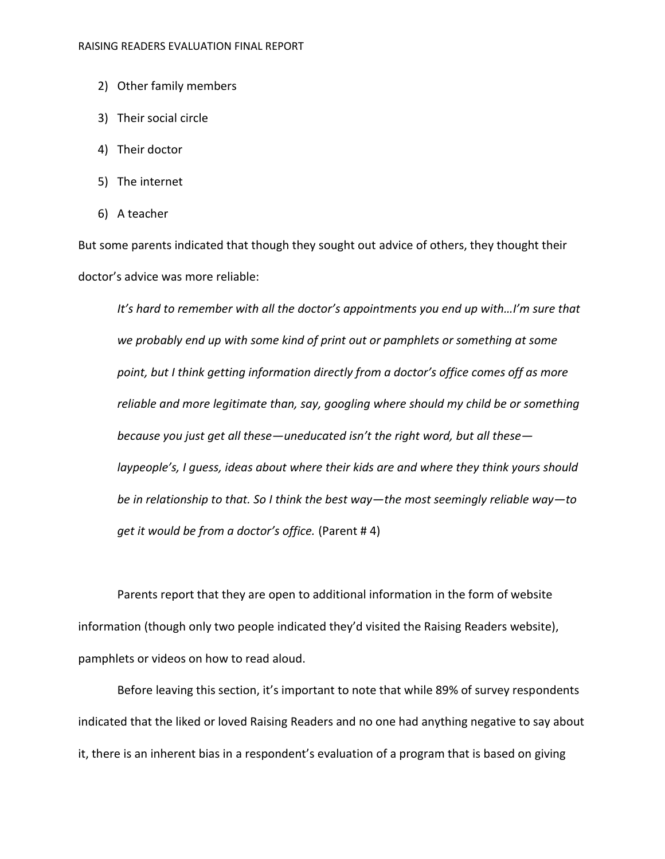- 2) Other family members
- 3) Their social circle
- 4) Their doctor
- 5) The internet
- 6) A teacher

But some parents indicated that though they sought out advice of others, they thought their doctor's advice was more reliable:

It's hard to remember with all the doctor's appointments you end up with...I'm sure that *we probably end up with some kind of print out or pamphlets or something at some point, but I think getting information directly from a doctor's office comes off as more reliable and more legitimate than, say, googling where should my child be or something because you just get all these—uneducated isn't the right word, but all these laypeople's, I guess, ideas about where their kids are and where they think yours should be in relationship to that. So I think the best way—the most seemingly reliable way—to get it would be from a doctor's office.* (Parent # 4)

Parents report that they are open to additional information in the form of website information (though only two people indicated they'd visited the Raising Readers website), pamphlets or videos on how to read aloud.

Before leaving this section, it's important to note that while 89% of survey respondents indicated that the liked or loved Raising Readers and no one had anything negative to say about it, there is an inherent bias in a respondent's evaluation of a program that is based on giving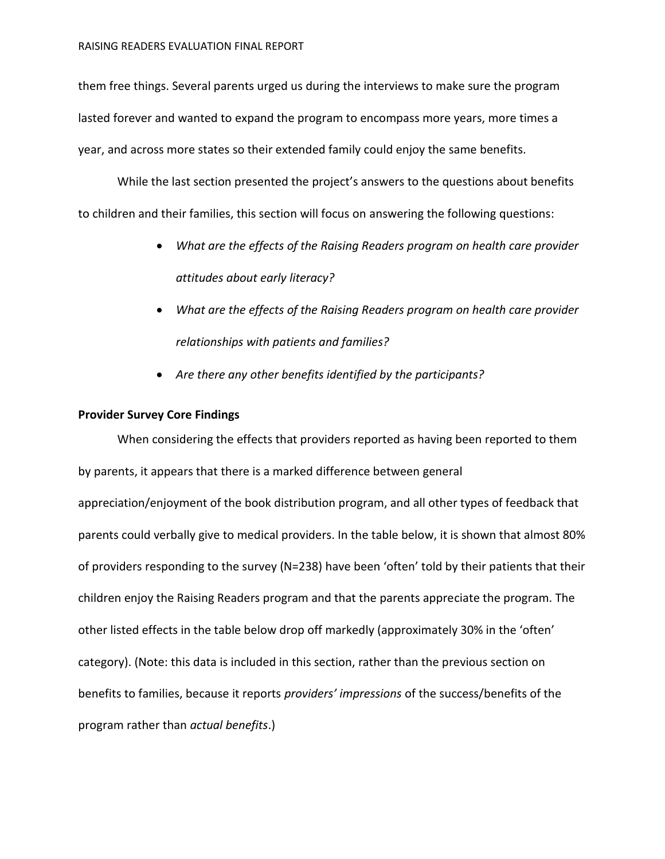them free things. Several parents urged us during the interviews to make sure the program lasted forever and wanted to expand the program to encompass more years, more times a year, and across more states so their extended family could enjoy the same benefits.

While the last section presented the project's answers to the questions about benefits to children and their families, this section will focus on answering the following questions:

- *What are the effects of the Raising Readers program on health care provider attitudes about early literacy?*
- *What are the effects of the Raising Readers program on health care provider relationships with patients and families?*
- *Are there any other benefits identified by the participants?*

## **Provider Survey Core Findings**

When considering the effects that providers reported as having been reported to them by parents, it appears that there is a marked difference between general appreciation/enjoyment of the book distribution program, and all other types of feedback that parents could verbally give to medical providers. In the table below, it is shown that almost 80% of providers responding to the survey (N=238) have been 'often' told by their patients that their children enjoy the Raising Readers program and that the parents appreciate the program. The other listed effects in the table below drop off markedly (approximately 30% in the 'often' category). (Note: this data is included in this section, rather than the previous section on benefits to families, because it reports *providers' impressions* of the success/benefits of the program rather than *actual benefits*.)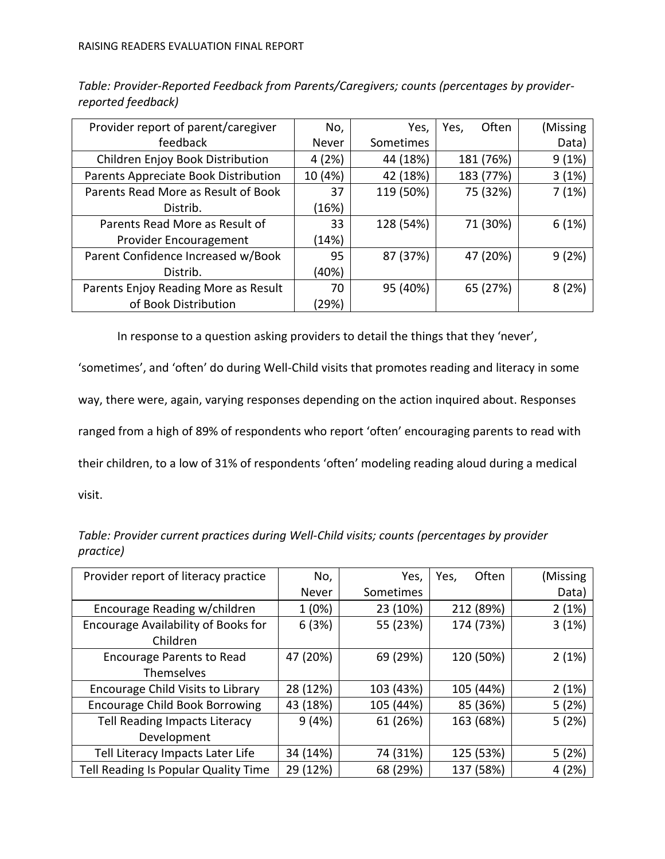| Provider report of parent/caregiver  | No,     | Yes,      | Often<br>Yes, | (Missing |
|--------------------------------------|---------|-----------|---------------|----------|
| feedback                             | Never   | Sometimes |               | Data)    |
| Children Enjoy Book Distribution     | 4(2%)   | 44 (18%)  | 181 (76%)     | 9(1%)    |
| Parents Appreciate Book Distribution | 10 (4%) | 42 (18%)  | 183 (77%)     | 3(1%)    |
| Parents Read More as Result of Book  | 37      | 119 (50%) | 75 (32%)      | 7(1%)    |
| Distrib.                             | (16%)   |           |               |          |
| Parents Read More as Result of       | 33      | 128 (54%) | 71 (30%)      | 6(1%)    |
| Provider Encouragement               | (14%)   |           |               |          |
| Parent Confidence Increased w/Book   | 95      | 87 (37%)  | 47 (20%)      | 9(2%)    |
| Distrib.                             | (40%)   |           |               |          |
| Parents Enjoy Reading More as Result | 70      | 95 (40%)  | 65 (27%)      | 8(2%)    |
| of Book Distribution                 | (29%)   |           |               |          |

*Table: Provider-Reported Feedback from Parents/Caregivers; counts (percentages by providerreported feedback)*

In response to a question asking providers to detail the things that they 'never',

'sometimes', and 'often' do during Well-Child visits that promotes reading and literacy in some way, there were, again, varying responses depending on the action inquired about. Responses ranged from a high of 89% of respondents who report 'often' encouraging parents to read with their children, to a low of 31% of respondents 'often' modeling reading aloud during a medical visit.

*Table: Provider current practices during Well-Child visits; counts (percentages by provider practice)*

| Provider report of literacy practice  | No,      | Yes,      | Often<br>Yes, | (Missing |
|---------------------------------------|----------|-----------|---------------|----------|
|                                       | Never    | Sometimes |               | Data)    |
| Encourage Reading w/children          | 1(0%)    | 23 (10%)  | 212 (89%)     | 2(1%)    |
| Encourage Availability of Books for   | 6(3%)    | 55 (23%)  | 174 (73%)     | 3(1%)    |
| Children                              |          |           |               |          |
| <b>Encourage Parents to Read</b>      | 47 (20%) | 69 (29%)  | 120 (50%)     | 2(1%)    |
| <b>Themselves</b>                     |          |           |               |          |
| Encourage Child Visits to Library     | 28 (12%) | 103 (43%) | 105 (44%)     | 2(1%)    |
| <b>Encourage Child Book Borrowing</b> | 43 (18%) | 105 (44%) | 85 (36%)      | 5(2%)    |
| Tell Reading Impacts Literacy         | 9(4%)    | 61 (26%)  | 163 (68%)     | 5(2%)    |
| Development                           |          |           |               |          |
| Tell Literacy Impacts Later Life      | 34 (14%) | 74 (31%)  | 125 (53%)     | 5(2%)    |
| Tell Reading Is Popular Quality Time  | 29 (12%) | 68 (29%)  | 137 (58%)     | 4(2%)    |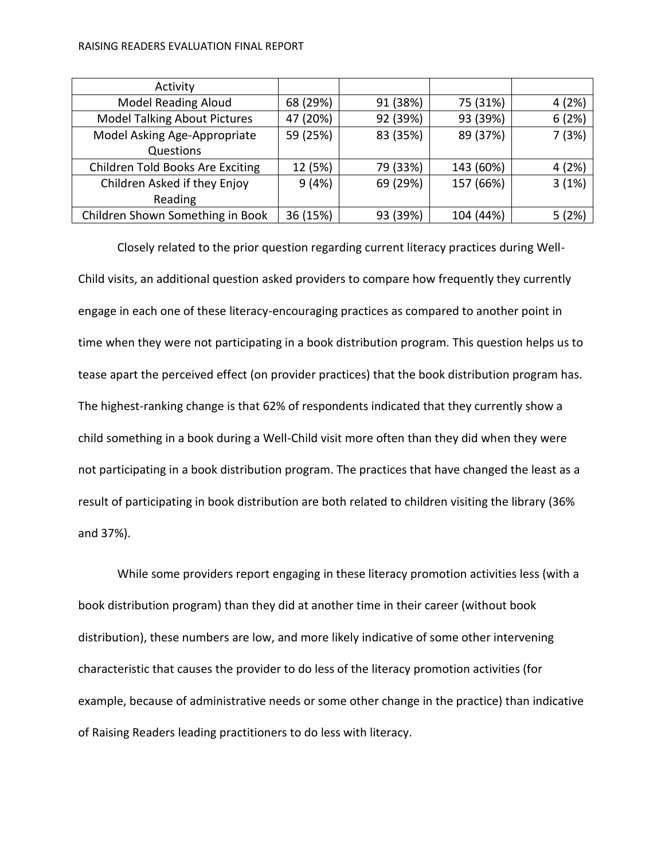#### RAISING READERS EVALUATION FINAL REPORT

| Activity                            |          |          |           |        |
|-------------------------------------|----------|----------|-----------|--------|
| <b>Model Reading Aloud</b>          | 68 (29%) | 91 (38%) | 75 (31%)  | 4(2%)  |
| <b>Model Talking About Pictures</b> | 47 (20%) | 92 (39%) | 93 (39%)  | 6(2%)  |
| Model Asking Age-Appropriate        | 59 (25%) | 83 (35%) | 89 (37%)  | 7 (3%) |
| Questions                           |          |          |           |        |
| Children Told Books Are Exciting    | 12 (5%)  | 79 (33%) | 143 (60%) | 4(2%)  |
| Children Asked if they Enjoy        | 9(4%)    | 69 (29%) | 157 (66%) | 3(1%)  |
| Reading                             |          |          |           |        |
| Children Shown Something in Book    | 36 (15%) | 93 (39%) | 104 (44%) | 5(2%)  |

Closely related to the prior question regarding current literacy practices during Well-Child visits, an additional question asked providers to compare how frequently they currently engage in each one of these literacy-encouraging practices as compared to another point in time when they were not participating in a book distribution program. This question helps us to tease apart the perceived effect (on provider practices) that the book distribution program has. The highest-ranking change is that 62% of respondents indicated that they currently show a child something in a book during a Well-Child visit more often than they did when they were not participating in a book distribution program. The practices that have changed the least as a result of participating in book distribution are both related to children visiting the library (36% and 37%).

While some providers report engaging in these literacy promotion activities less (with a book distribution program) than they did at another time in their career (without book distribution), these numbers are low, and more likely indicative of some other intervening characteristic that causes the provider to do less of the literacy promotion activities (for example, because of administrative needs or some other change in the practice) than indicative of Raising Readers leading practitioners to do less with literacy.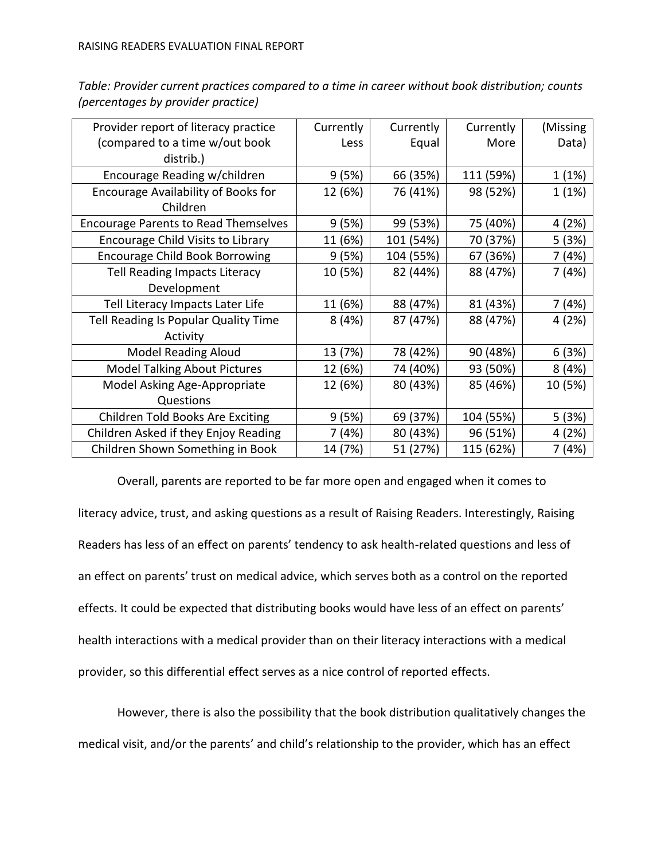| Provider report of literacy practice        | Currently | Currently | Currently | (Missing |
|---------------------------------------------|-----------|-----------|-----------|----------|
| (compared to a time w/out book              | Less      | Equal     | More      | Data)    |
| distrib.)                                   |           |           |           |          |
| Encourage Reading w/children                | 9 (5%)    | 66 (35%)  | 111 (59%) | 1(1%)    |
| Encourage Availability of Books for         | 12 (6%)   | 76 (41%)  | 98 (52%)  | 1(1%)    |
| Children                                    |           |           |           |          |
| <b>Encourage Parents to Read Themselves</b> | 9(5%)     | 99 (53%)  | 75 (40%)  | 4 (2%)   |
| Encourage Child Visits to Library           | 11 (6%)   | 101 (54%) | 70 (37%)  | 5(3%)    |
| <b>Encourage Child Book Borrowing</b>       | 9(5%)     | 104 (55%) | 67 (36%)  | 7 (4%)   |
| <b>Tell Reading Impacts Literacy</b>        | 10 (5%)   | 82 (44%)  | 88 (47%)  | 7 (4%)   |
| Development                                 |           |           |           |          |
| Tell Literacy Impacts Later Life            | 11 (6%)   | 88 (47%)  | 81 (43%)  | 7 (4%)   |
| Tell Reading Is Popular Quality Time        | 8(4%)     | 87 (47%)  | 88 (47%)  | 4 (2%)   |
| Activity                                    |           |           |           |          |
| <b>Model Reading Aloud</b>                  | 13 (7%)   | 78 (42%)  | 90 (48%)  | 6(3%)    |
| <b>Model Talking About Pictures</b>         | 12 (6%)   | 74 (40%)  | 93 (50%)  | 8(4%)    |
| Model Asking Age-Appropriate                | 12 (6%)   | 80 (43%)  | 85 (46%)  | 10 (5%)  |
| Questions                                   |           |           |           |          |
| Children Told Books Are Exciting            | 9(5%)     | 69 (37%)  | 104 (55%) | 5 (3%)   |
| Children Asked if they Enjoy Reading        | 7 (4%)    | 80 (43%)  | 96 (51%)  | 4 (2%)   |
| Children Shown Something in Book            | 14 (7%)   | 51 (27%)  | 115 (62%) | 7 (4%)   |

*Table: Provider current practices compared to a time in career without book distribution; counts (percentages by provider practice)*

Overall, parents are reported to be far more open and engaged when it comes to literacy advice, trust, and asking questions as a result of Raising Readers. Interestingly, Raising Readers has less of an effect on parents' tendency to ask health-related questions and less of an effect on parents' trust on medical advice, which serves both as a control on the reported effects. It could be expected that distributing books would have less of an effect on parents' health interactions with a medical provider than on their literacy interactions with a medical provider, so this differential effect serves as a nice control of reported effects.

However, there is also the possibility that the book distribution qualitatively changes the medical visit, and/or the parents' and child's relationship to the provider, which has an effect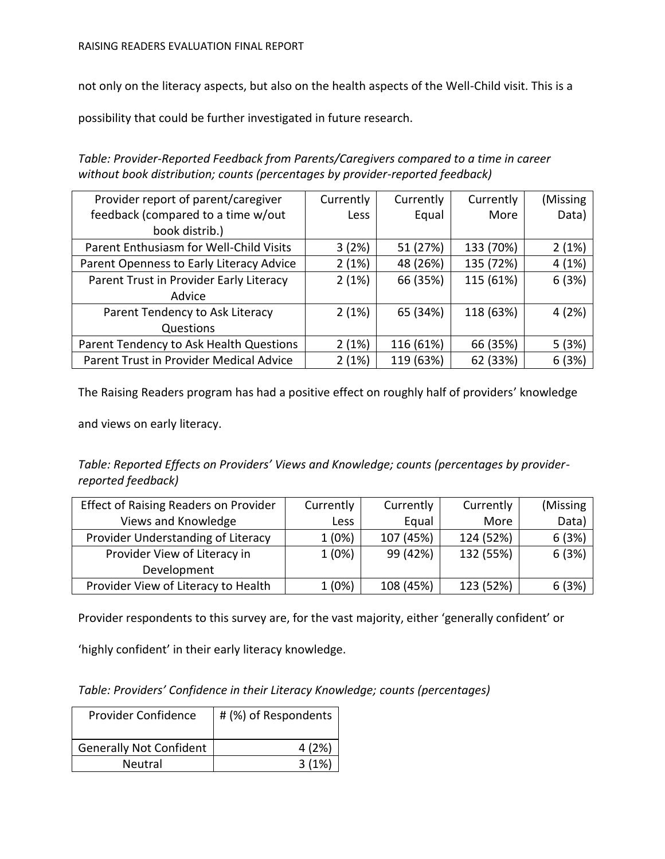not only on the literacy aspects, but also on the health aspects of the Well-Child visit. This is a

possibility that could be further investigated in future research.

*Table: Provider-Reported Feedback from Parents/Caregivers compared to a time in career without book distribution; counts (percentages by provider-reported feedback)*

| Provider report of parent/caregiver      | Currently | Currently | Currently | (Missing |
|------------------------------------------|-----------|-----------|-----------|----------|
| feedback (compared to a time w/out       | Less      | Equal     | More      | Data)    |
| book distrib.)                           |           |           |           |          |
| Parent Enthusiasm for Well-Child Visits  | 3(2%)     | 51 (27%)  | 133 (70%) | 2(1%)    |
| Parent Openness to Early Literacy Advice | 2(1%)     | 48 (26%)  | 135 (72%) | 4(1%)    |
| Parent Trust in Provider Early Literacy  | 2(1%)     | 66 (35%)  | 115 (61%) | 6(3%)    |
| Advice                                   |           |           |           |          |
| Parent Tendency to Ask Literacy          | 2(1%)     | 65 (34%)  | 118 (63%) | 4 (2%)   |
| Questions                                |           |           |           |          |
| Parent Tendency to Ask Health Questions  | 2(1%)     | 116 (61%) | 66 (35%)  | 5(3%)    |
| Parent Trust in Provider Medical Advice  | 2(1%)     | 119 (63%) | 62 (33%)  | 6(3%)    |

The Raising Readers program has had a positive effect on roughly half of providers' knowledge

and views on early literacy.

*Table: Reported Effects on Providers' Views and Knowledge; counts (percentages by providerreported feedback)*

| <b>Effect of Raising Readers on Provider</b> | Currently   | Currently | Currently | (Missing) |
|----------------------------------------------|-------------|-----------|-----------|-----------|
| Views and Knowledge                          | <b>Less</b> | Equal     | More      | Data)     |
| Provider Understanding of Literacy           | 1(0%)       | 107 (45%) | 124 (52%) | 6(3%)     |
| Provider View of Literacy in                 | 1(0%)       | 99 (42%)  | 132 (55%) | 6(3%)     |
| Development                                  |             |           |           |           |
| Provider View of Literacy to Health          | 1(0%)       | 108 (45%) | 123 (52%) | 6(3%)     |

Provider respondents to this survey are, for the vast majority, either 'generally confident' or

'highly confident' in their early literacy knowledge.

*Table: Providers' Confidence in their Literacy Knowledge; counts (percentages)*

| Provider Confidence            | # (%) of Respondents |
|--------------------------------|----------------------|
| <b>Generally Not Confident</b> | 4(2%)                |
| <b>Neutral</b>                 | 3(1%)                |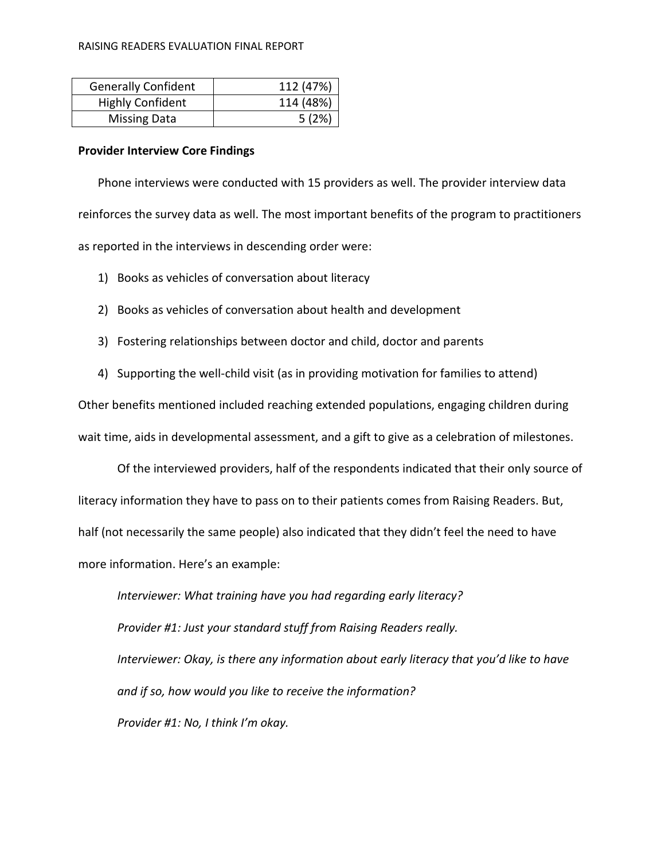#### RAISING READERS EVALUATION FINAL REPORT

| <b>Generally Confident</b> | 112 (47%) |
|----------------------------|-----------|
| <b>Highly Confident</b>    | 114 (48%) |
| <b>Missing Data</b>        | 5(2%)     |

#### **Provider Interview Core Findings**

Phone interviews were conducted with 15 providers as well. The provider interview data reinforces the survey data as well. The most important benefits of the program to practitioners as reported in the interviews in descending order were:

- 1) Books as vehicles of conversation about literacy
- 2) Books as vehicles of conversation about health and development
- 3) Fostering relationships between doctor and child, doctor and parents
- 4) Supporting the well-child visit (as in providing motivation for families to attend)

Other benefits mentioned included reaching extended populations, engaging children during wait time, aids in developmental assessment, and a gift to give as a celebration of milestones.

Of the interviewed providers, half of the respondents indicated that their only source of literacy information they have to pass on to their patients comes from Raising Readers. But, half (not necessarily the same people) also indicated that they didn't feel the need to have more information. Here's an example:

*Interviewer: What training have you had regarding early literacy? Provider #1: Just your standard stuff from Raising Readers really. Interviewer: Okay, is there any information about early literacy that you'd like to have and if so, how would you like to receive the information? Provider #1: No, I think I'm okay.*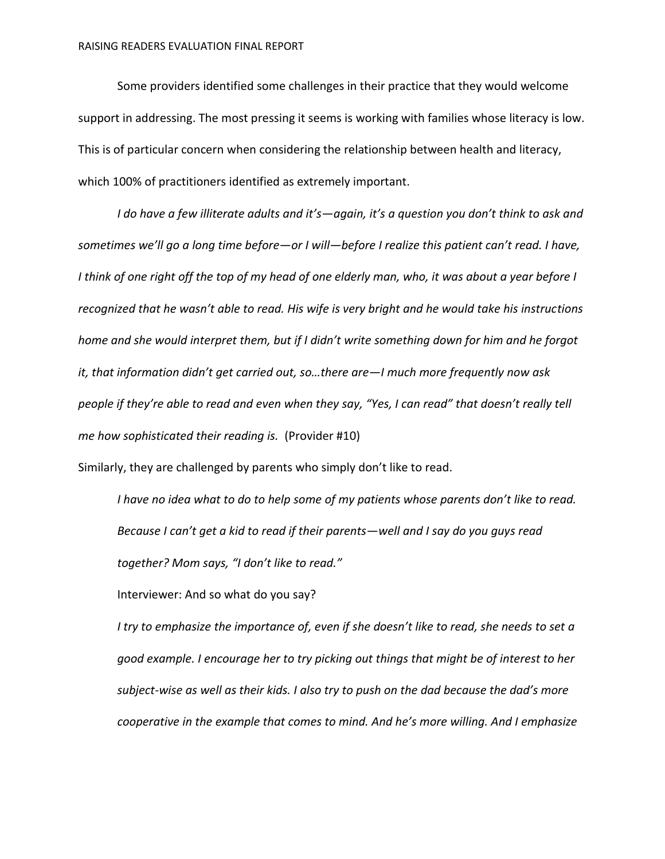Some providers identified some challenges in their practice that they would welcome support in addressing. The most pressing it seems is working with families whose literacy is low. This is of particular concern when considering the relationship between health and literacy, which 100% of practitioners identified as extremely important.

*I do have a few illiterate adults and it's—again, it's a question you don't think to ask and sometimes we'll go a long time before—or I will—before I realize this patient can't read. I have, I think of one right off the top of my head of one elderly man, who, it was about a year before I recognized that he wasn't able to read. His wife is very bright and he would take his instructions home and she would interpret them, but if I didn't write something down for him and he forgot it, that information didn't get carried out, so…there are—I much more frequently now ask people if they're able to read and even when they say, "Yes, I can read" that doesn't really tell me how sophisticated their reading is.* (Provider #10)

Similarly, they are challenged by parents who simply don't like to read.

*I have no idea what to do to help some of my patients whose parents don't like to read. Because I can't get a kid to read if their parents—well and I say do you guys read together? Mom says, "I don't like to read."*

Interviewer: And so what do you say?

*I try to emphasize the importance of, even if she doesn't like to read, she needs to set a good example. I encourage her to try picking out things that might be of interest to her subject-wise as well as their kids. I also try to push on the dad because the dad's more cooperative in the example that comes to mind. And he's more willing. And I emphasize*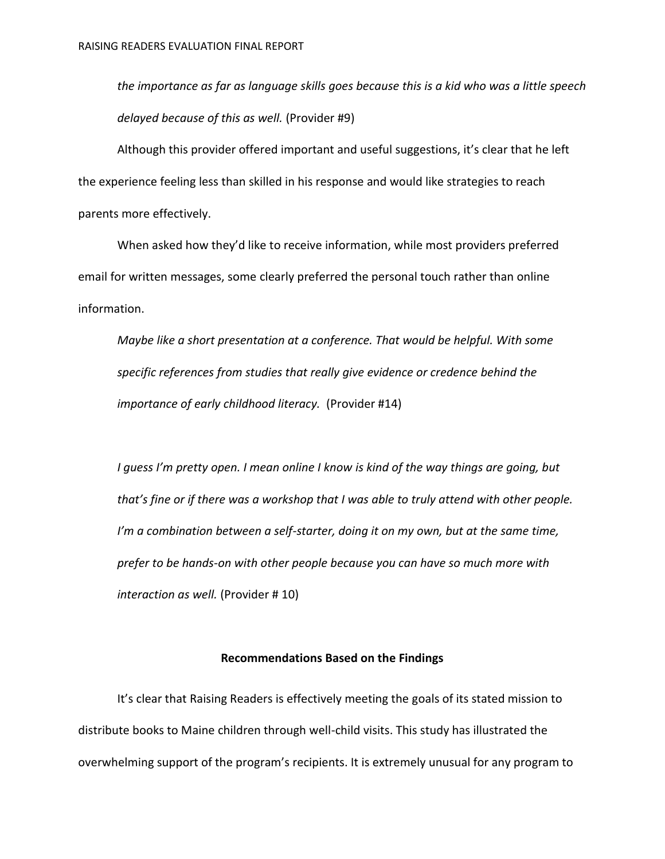*the importance as far as language skills goes because this is a kid who was a little speech delayed because of this as well.* (Provider #9)

Although this provider offered important and useful suggestions, it's clear that he left the experience feeling less than skilled in his response and would like strategies to reach parents more effectively.

When asked how they'd like to receive information, while most providers preferred email for written messages, some clearly preferred the personal touch rather than online information.

*Maybe like a short presentation at a conference. That would be helpful. With some specific references from studies that really give evidence or credence behind the importance of early childhood literacy.* (Provider #14)

*I guess I'm pretty open. I mean online I know is kind of the way things are going, but that's fine or if there was a workshop that I was able to truly attend with other people. I'm a combination between a self-starter, doing it on my own, but at the same time, prefer to be hands-on with other people because you can have so much more with interaction as well.* (Provider # 10)

# **Recommendations Based on the Findings**

It's clear that Raising Readers is effectively meeting the goals of its stated mission to distribute books to Maine children through well-child visits. This study has illustrated the overwhelming support of the program's recipients. It is extremely unusual for any program to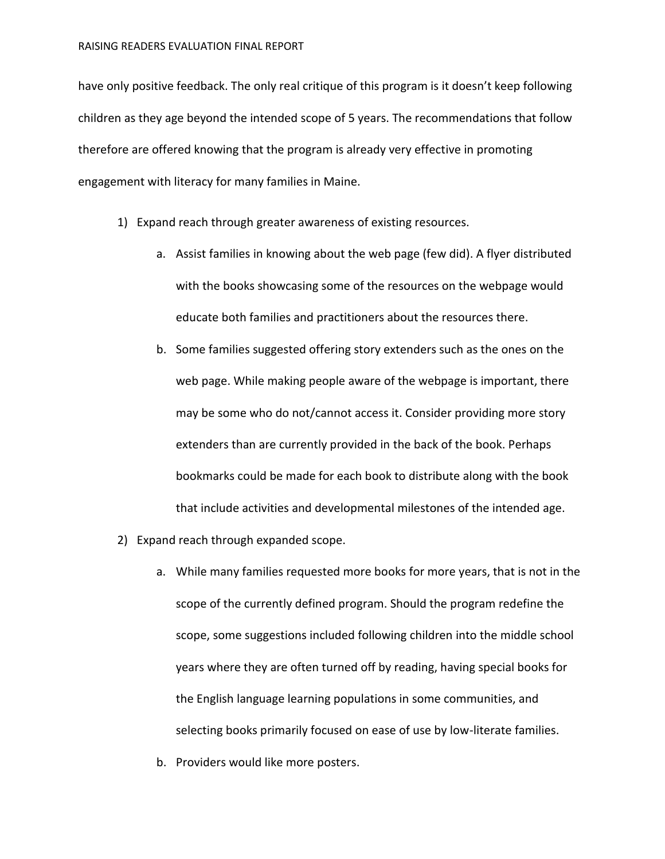have only positive feedback. The only real critique of this program is it doesn't keep following children as they age beyond the intended scope of 5 years. The recommendations that follow therefore are offered knowing that the program is already very effective in promoting engagement with literacy for many families in Maine.

- 1) Expand reach through greater awareness of existing resources.
	- a. Assist families in knowing about the web page (few did). A flyer distributed with the books showcasing some of the resources on the webpage would educate both families and practitioners about the resources there.
	- b. Some families suggested offering story extenders such as the ones on the web page. While making people aware of the webpage is important, there may be some who do not/cannot access it. Consider providing more story extenders than are currently provided in the back of the book. Perhaps bookmarks could be made for each book to distribute along with the book that include activities and developmental milestones of the intended age.
- 2) Expand reach through expanded scope.
	- a. While many families requested more books for more years, that is not in the scope of the currently defined program. Should the program redefine the scope, some suggestions included following children into the middle school years where they are often turned off by reading, having special books for the English language learning populations in some communities, and selecting books primarily focused on ease of use by low-literate families.
	- b. Providers would like more posters.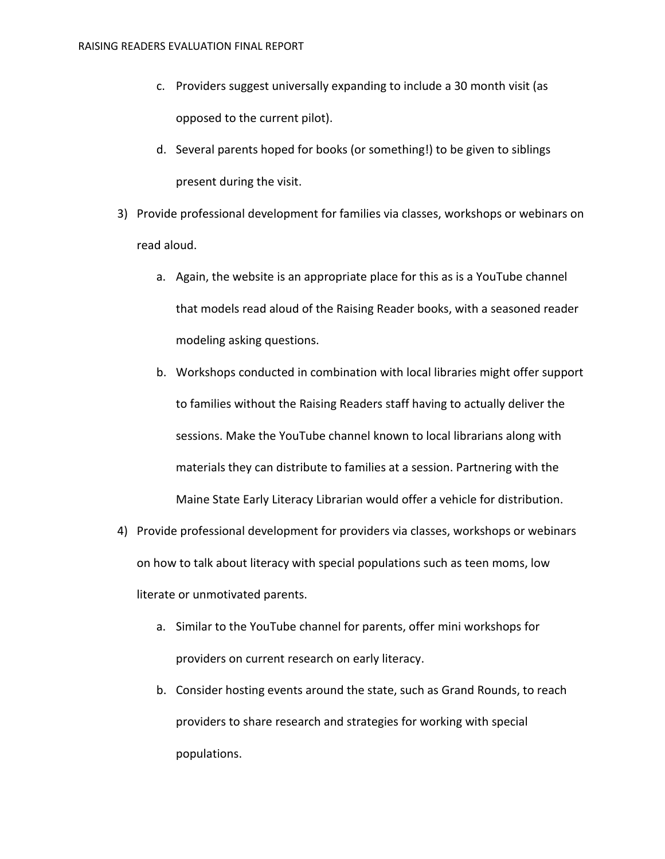- c. Providers suggest universally expanding to include a 30 month visit (as opposed to the current pilot).
- d. Several parents hoped for books (or something!) to be given to siblings present during the visit.
- 3) Provide professional development for families via classes, workshops or webinars on read aloud.
	- a. Again, the website is an appropriate place for this as is a YouTube channel that models read aloud of the Raising Reader books, with a seasoned reader modeling asking questions.
	- b. Workshops conducted in combination with local libraries might offer support to families without the Raising Readers staff having to actually deliver the sessions. Make the YouTube channel known to local librarians along with materials they can distribute to families at a session. Partnering with the Maine State Early Literacy Librarian would offer a vehicle for distribution.
- 4) Provide professional development for providers via classes, workshops or webinars on how to talk about literacy with special populations such as teen moms, low literate or unmotivated parents.
	- a. Similar to the YouTube channel for parents, offer mini workshops for providers on current research on early literacy.
	- b. Consider hosting events around the state, such as Grand Rounds, to reach providers to share research and strategies for working with special populations.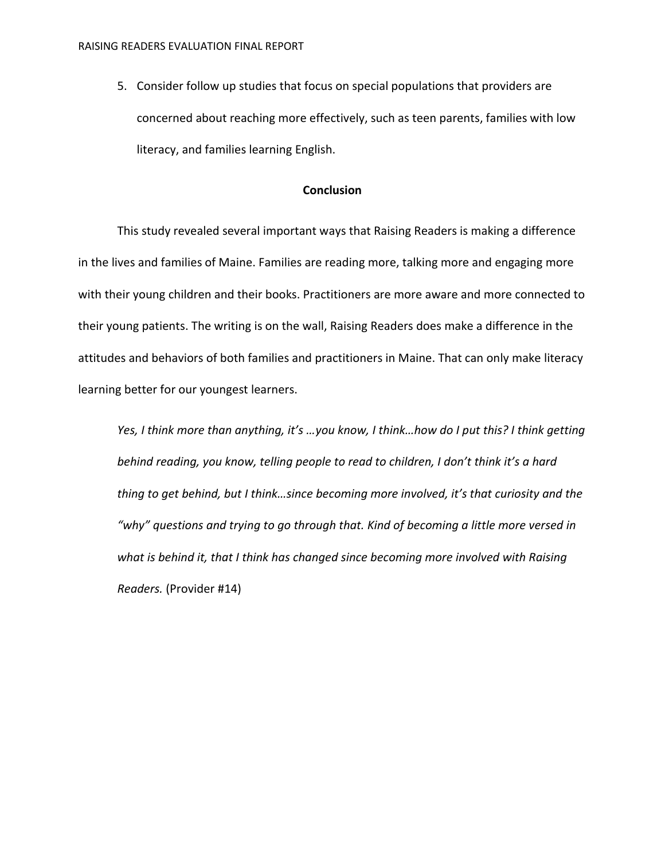5. Consider follow up studies that focus on special populations that providers are concerned about reaching more effectively, such as teen parents, families with low literacy, and families learning English.

## **Conclusion**

This study revealed several important ways that Raising Readers is making a difference in the lives and families of Maine. Families are reading more, talking more and engaging more with their young children and their books. Practitioners are more aware and more connected to their young patients. The writing is on the wall, Raising Readers does make a difference in the attitudes and behaviors of both families and practitioners in Maine. That can only make literacy learning better for our youngest learners.

*Yes, I think more than anything, it's …you know, I think…how do I put this? I think getting behind reading, you know, telling people to read to children, I don't think it's a hard thing to get behind, but I think…since becoming more involved, it's that curiosity and the "why" questions and trying to go through that. Kind of becoming a little more versed in what is behind it, that I think has changed since becoming more involved with Raising Readers.* (Provider #14)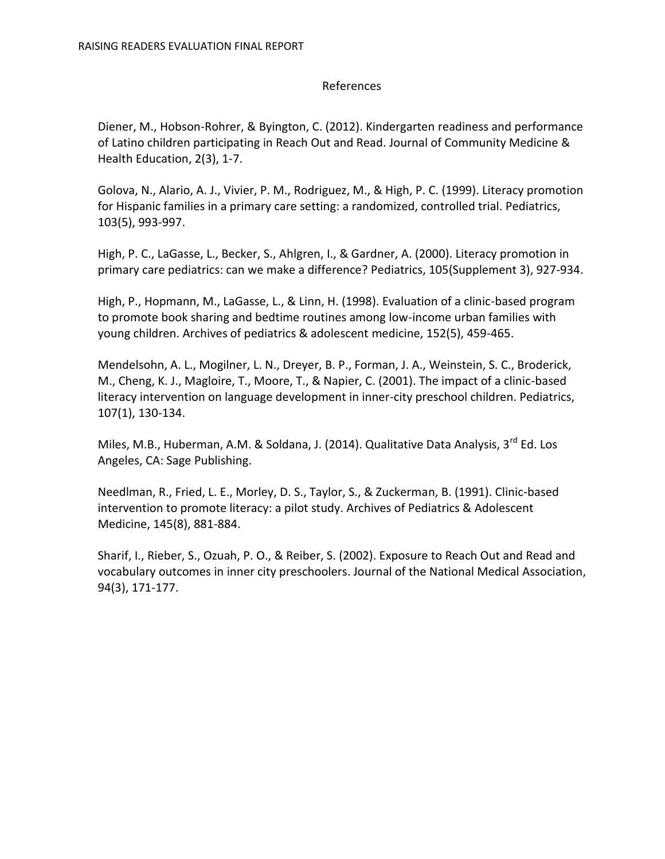# References

Diener, M., Hobson-Rohrer, & Byington, C. (2012). Kindergarten readiness and performance of Latino children participating in Reach Out and Read. Journal of Community Medicine & Health Education, 2(3), 1-7.

Golova, N., Alario, A. J., Vivier, P. M., Rodriguez, M., & High, P. C. (1999). Literacy promotion for Hispanic families in a primary care setting: a randomized, controlled trial. Pediatrics, 103(5), 993-997.

High, P. C., LaGasse, L., Becker, S., Ahlgren, I., & Gardner, A. (2000). Literacy promotion in primary care pediatrics: can we make a difference? Pediatrics, 105(Supplement 3), 927-934.

High, P., Hopmann, M., LaGasse, L., & Linn, H. (1998). Evaluation of a clinic-based program to promote book sharing and bedtime routines among low-income urban families with young children. Archives of pediatrics & adolescent medicine, 152(5), 459-465.

Mendelsohn, A. L., Mogilner, L. N., Dreyer, B. P., Forman, J. A., Weinstein, S. C., Broderick, M., Cheng, K. J., Magloire, T., Moore, T., & Napier, C. (2001). The impact of a clinic-based literacy intervention on language development in inner-city preschool children. Pediatrics, 107(1), 130-134.

Miles, M.B., Huberman, A.M. & Soldana, J. (2014). Qualitative Data Analysis, 3<sup>rd</sup> Ed. Los Angeles, CA: Sage Publishing.

Needlman, R., Fried, L. E., Morley, D. S., Taylor, S., & Zuckerman, B. (1991). Clinic-based intervention to promote literacy: a pilot study. Archives of Pediatrics & Adolescent Medicine, 145(8), 881-884.

Sharif, I., Rieber, S., Ozuah, P. O., & Reiber, S. (2002). Exposure to Reach Out and Read and vocabulary outcomes in inner city preschoolers. Journal of the National Medical Association, 94(3), 171-177.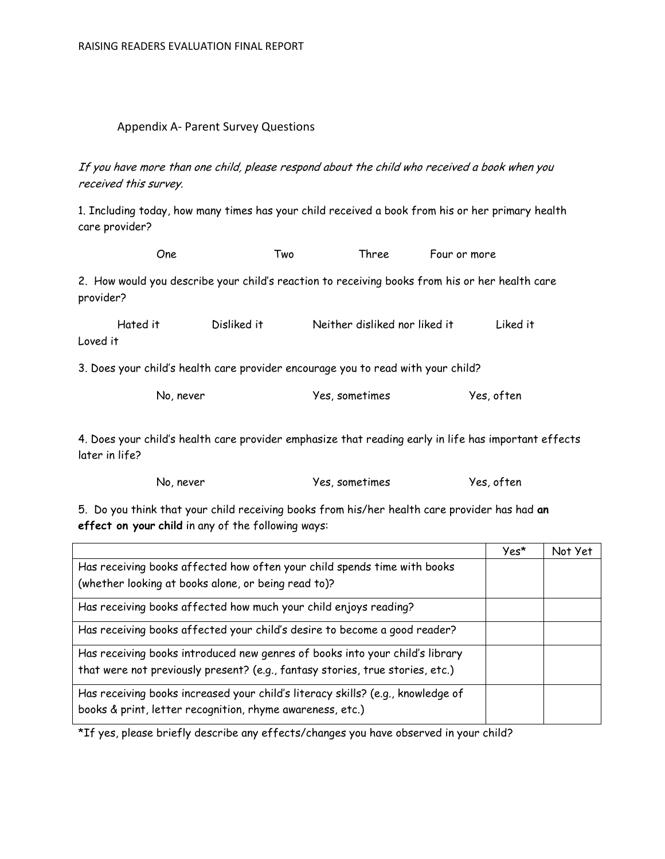### Appendix A- Parent Survey Questions

If you have more than one child, please respond about the child who received a book when you received this survey.

1. Including today, how many times has your child received a book from his or her primary health care provider?

One Two Three Four or more 2. How would you describe your child's reaction to receiving books from his or her health care provider?

| Hated it | Disliked it | Neither disliked nor liked it | Liked it |
|----------|-------------|-------------------------------|----------|
| Loved it |             |                               |          |

3. Does your child's health care provider encourage you to read with your child?

| No, never | Yes, sometimes | Yes, often |
|-----------|----------------|------------|
|-----------|----------------|------------|

4. Does your child's health care provider emphasize that reading early in life has important effects later in life?

No, never Yes, sometimes Yes, often

5. Do you think that your child receiving books from his/her health care provider has had **an effect on your child** in any of the following ways:

|                                                                                                                                              | Yes* | Not Yet |
|----------------------------------------------------------------------------------------------------------------------------------------------|------|---------|
| Has receiving books affected how often your child spends time with books                                                                     |      |         |
| (whether looking at books alone, or being read to)?                                                                                          |      |         |
| Has receiving books affected how much your child enjoys reading?                                                                             |      |         |
| Has receiving books affected your child's desire to become a good reader?                                                                    |      |         |
| Has receiving books introduced new genres of books into your child's library                                                                 |      |         |
| that were not previously present? (e.g., fantasy stories, true stories, etc.)                                                                |      |         |
| Has receiving books increased your child's literacy skills? (e.g., knowledge of<br>books & print, letter recognition, rhyme awareness, etc.) |      |         |

\*If yes, please briefly describe any effects/changes you have observed in your child?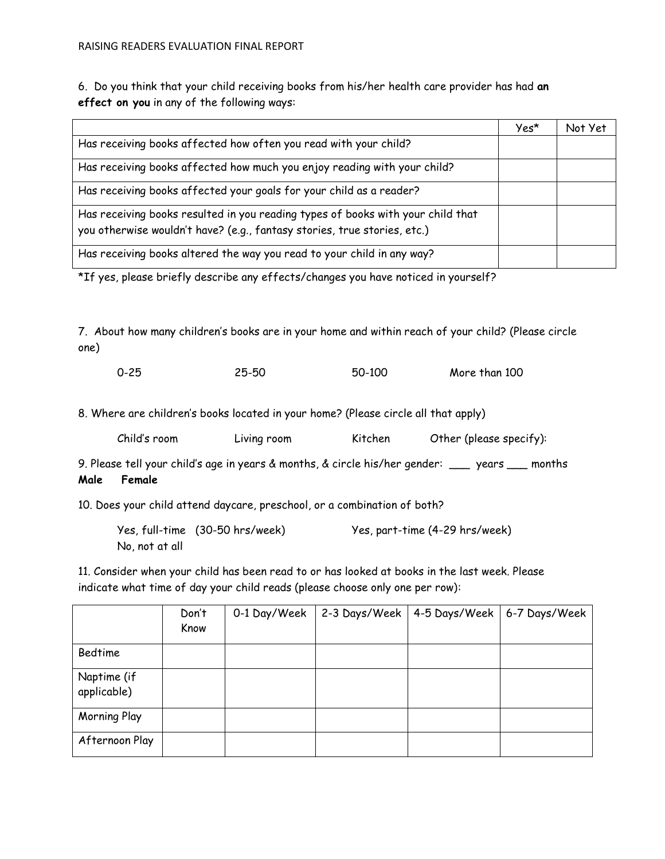6. Do you think that your child receiving books from his/her health care provider has had **an effect on you** in any of the following ways:

|                                                                                                                                                             | Yes* | Not Yet |
|-------------------------------------------------------------------------------------------------------------------------------------------------------------|------|---------|
| Has receiving books affected how often you read with your child?                                                                                            |      |         |
| Has receiving books affected how much you enjoy reading with your child?                                                                                    |      |         |
| Has receiving books affected your goals for your child as a reader?                                                                                         |      |         |
| Has receiving books resulted in you reading types of books with your child that<br>you otherwise wouldn't have? (e.g., fantasy stories, true stories, etc.) |      |         |
| Has receiving books altered the way you read to your child in any way?                                                                                      |      |         |

\*If yes, please briefly describe any effects/changes you have noticed in yourself?

7. About how many children's books are in your home and within reach of your child? (Please circle one)

| $0 - 25$ | 25-50 | 50-100 | More than 100 |
|----------|-------|--------|---------------|
|          |       |        |               |

8. Where are children's books located in your home? (Please circle all that apply)

|  | Child's room | Living room | Kitchen | Other (please specify): |
|--|--------------|-------------|---------|-------------------------|
|--|--------------|-------------|---------|-------------------------|

9. Please tell your child's age in years & months, & circle his/her gender: \_\_\_ years \_\_\_ months **Male Female**

10. Does your child attend daycare, preschool, or a combination of both?

|                | Yes, full-time (30-50 hrs/week) | Yes, part-time (4-29 hrs/week) |
|----------------|---------------------------------|--------------------------------|
| No, not at all |                                 |                                |

11. Consider when your child has been read to or has looked at books in the last week. Please indicate what time of day your child reads (please choose only one per row):

|                            | Don't<br>Know | 0-1 Day/Week | 2-3 Days/Week | 4-5 Days/Week | 6-7 Days/Week |
|----------------------------|---------------|--------------|---------------|---------------|---------------|
| Bedtime                    |               |              |               |               |               |
| Naptime (if<br>applicable) |               |              |               |               |               |
| <b>Morning Play</b>        |               |              |               |               |               |
| Afternoon Play             |               |              |               |               |               |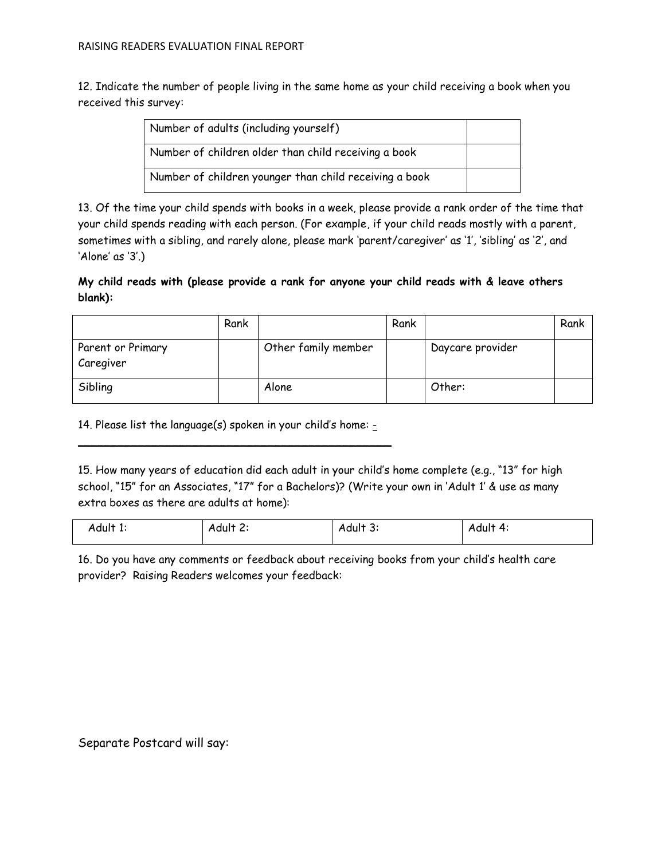12. Indicate the number of people living in the same home as your child receiving a book when you received this survey:

| Number of adults (including yourself)                  |  |
|--------------------------------------------------------|--|
| Number of children older than child receiving a book   |  |
| Number of children younger than child receiving a book |  |

13. Of the time your child spends with books in a week, please provide a rank order of the time that your child spends reading with each person. (For example, if your child reads mostly with a parent, sometimes with a sibling, and rarely alone, please mark 'parent/caregiver' as '1', 'sibling' as '2', and 'Alone' as '3'.)

# **My child reads with (please provide a rank for anyone your child reads with & leave others blank):**

|                                | Rank |                     | Rank |                  | Rank |
|--------------------------------|------|---------------------|------|------------------|------|
| Parent or Primary<br>Caregiver |      | Other family member |      | Daycare provider |      |
| Sibling                        |      | Alone               |      | Other:           |      |

14. Please list the language(s) spoken in your child's home:  $\overline{\phantom{a}}$  , and the contract of the contract of the contract of the contract of the contract of the contract of the contract of the contract of the contract of the contract of the contract of the contract of the contrac

15. How many years of education did each adult in your child's home complete (e.g., "13" for high school, "15" for an Associates, "17" for a Bachelors)? (Write your own in 'Adult 1' & use as many extra boxes as there are adults at home):

| Adult 1. | Adult <u>c</u> | -<br>Adult 3. | Adult<br>$\mathbf{A}$ |
|----------|----------------|---------------|-----------------------|
|          |                |               |                       |

16. Do you have any comments or feedback about receiving books from your child's health care provider? Raising Readers welcomes your feedback:

Separate Postcard will say: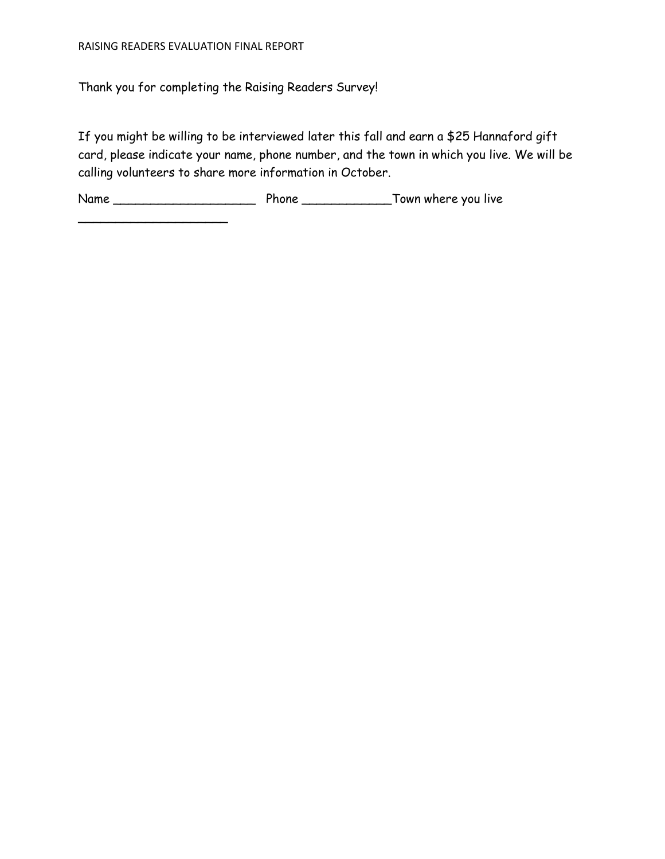\_\_\_\_\_\_\_\_\_\_\_\_\_\_\_\_\_\_\_\_

Thank you for completing the Raising Readers Survey!

If you might be willing to be interviewed later this fall and earn a \$25 Hannaford gift card, please indicate your name, phone number, and the town in which you live. We will be calling volunteers to share more information in October.

Name \_\_\_\_\_\_\_\_\_\_\_\_\_\_\_\_\_\_\_ Phone \_\_\_\_\_\_\_\_\_\_\_\_Town where you live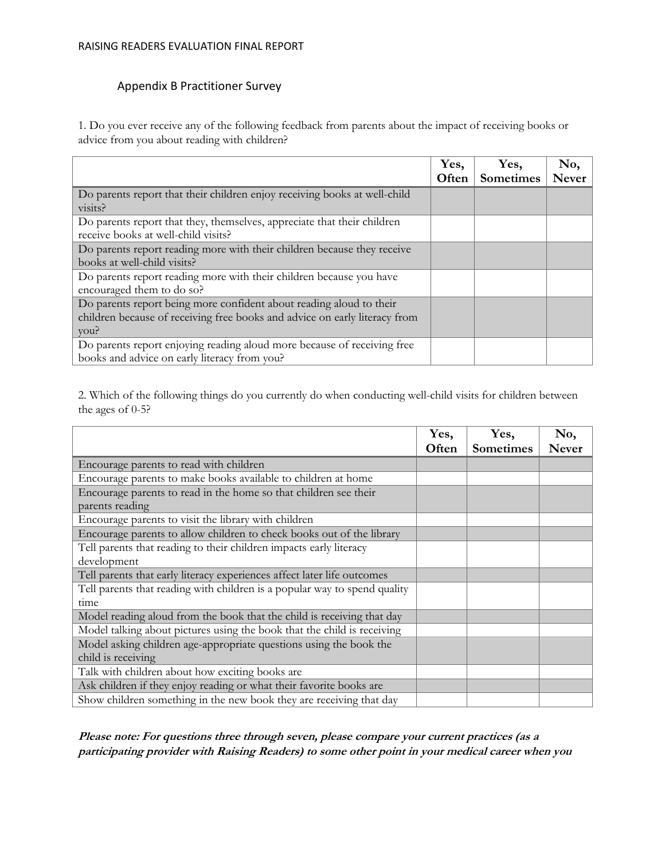#### RAISING READERS EVALUATION FINAL REPORT

# Appendix B Practitioner Survey

1. Do you ever receive any of the following feedback from parents about the impact of receiving books or advice from you about reading with children?

|                                                                            | Yes,  | Yes,             | No,          |
|----------------------------------------------------------------------------|-------|------------------|--------------|
|                                                                            | Often | <b>Sometimes</b> | <b>Never</b> |
| Do parents report that their children enjoy receiving books at well-child  |       |                  |              |
| visits?                                                                    |       |                  |              |
| Do parents report that they, themselves, appreciate that their children    |       |                  |              |
| receive books at well-child visits?                                        |       |                  |              |
| Do parents report reading more with their children because they receive    |       |                  |              |
| books at well-child visits?                                                |       |                  |              |
| Do parents report reading more with their children because you have        |       |                  |              |
| encouraged them to do so?                                                  |       |                  |              |
| Do parents report being more confident about reading aloud to their        |       |                  |              |
| children because of receiving free books and advice on early literacy from |       |                  |              |
| you?                                                                       |       |                  |              |
| Do parents report enjoying reading aloud more because of receiving free    |       |                  |              |
| books and advice on early literacy from you?                               |       |                  |              |

2. Which of the following things do you currently do when conducting well-child visits for children between the ages of 0-5?

|                                                                           | Yes,  | Yes,             | No,          |
|---------------------------------------------------------------------------|-------|------------------|--------------|
|                                                                           | Often | <b>Sometimes</b> | <b>Never</b> |
| Encourage parents to read with children                                   |       |                  |              |
| Encourage parents to make books available to children at home             |       |                  |              |
| Encourage parents to read in the home so that children see their          |       |                  |              |
| parents reading                                                           |       |                  |              |
| Encourage parents to visit the library with children                      |       |                  |              |
| Encourage parents to allow children to check books out of the library     |       |                  |              |
| Tell parents that reading to their children impacts early literacy        |       |                  |              |
| development                                                               |       |                  |              |
| Tell parents that early literacy experiences affect later life outcomes   |       |                  |              |
| Tell parents that reading with children is a popular way to spend quality |       |                  |              |
| time                                                                      |       |                  |              |
| Model reading aloud from the book that the child is receiving that day    |       |                  |              |
| Model talking about pictures using the book that the child is receiving   |       |                  |              |
| Model asking children age-appropriate questions using the book the        |       |                  |              |
| child is receiving                                                        |       |                  |              |
| Talk with children about how exciting books are                           |       |                  |              |
| Ask children if they enjoy reading or what their favorite books are       |       |                  |              |
| Show children something in the new book they are receiving that day       |       |                  |              |

**Please note: For questions three through seven, please compare your current practices (as a participating provider with Raising Readers) to some other point in your medical career when you**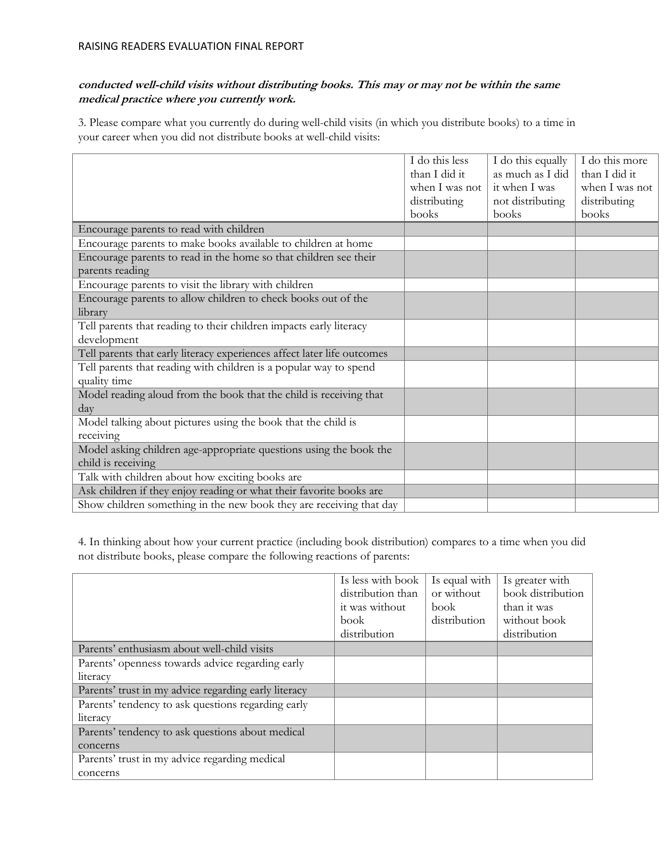# **conducted well-child visits without distributing books. This may or may not be within the same medical practice where you currently work.**

3. Please compare what you currently do during well-child visits (in which you distribute books) to a time in your career when you did not distribute books at well-child visits:

|                                                                         | I do this less | I do this equally | I do this more |
|-------------------------------------------------------------------------|----------------|-------------------|----------------|
|                                                                         | than I did it  | as much as I did  | than I did it  |
|                                                                         | when I was not | it when I was     | when I was not |
|                                                                         | distributing   | not distributing  | distributing   |
|                                                                         | books          | books             | books          |
| Encourage parents to read with children                                 |                |                   |                |
| Encourage parents to make books available to children at home           |                |                   |                |
| Encourage parents to read in the home so that children see their        |                |                   |                |
| parents reading                                                         |                |                   |                |
| Encourage parents to visit the library with children                    |                |                   |                |
| Encourage parents to allow children to check books out of the           |                |                   |                |
| library                                                                 |                |                   |                |
| Tell parents that reading to their children impacts early literacy      |                |                   |                |
| development                                                             |                |                   |                |
| Tell parents that early literacy experiences affect later life outcomes |                |                   |                |
| Tell parents that reading with children is a popular way to spend       |                |                   |                |
| quality time                                                            |                |                   |                |
| Model reading aloud from the book that the child is receiving that      |                |                   |                |
| day                                                                     |                |                   |                |
| Model talking about pictures using the book that the child is           |                |                   |                |
| receiving                                                               |                |                   |                |
| Model asking children age-appropriate questions using the book the      |                |                   |                |
| child is receiving                                                      |                |                   |                |
| Talk with children about how exciting books are                         |                |                   |                |
| Ask children if they enjoy reading or what their favorite books are     |                |                   |                |
| Show children something in the new book they are receiving that day     |                |                   |                |

4. In thinking about how your current practice (including book distribution) compares to a time when you did not distribute books, please compare the following reactions of parents:

|                                                      | Is less with book<br>distribution than<br>it was without<br>book<br>distribution | Is equal with<br>or without<br>book<br>distribution | Is greater with<br>book distribution<br>than it was<br>without book<br>distribution |
|------------------------------------------------------|----------------------------------------------------------------------------------|-----------------------------------------------------|-------------------------------------------------------------------------------------|
| Parents' enthusiasm about well-child visits          |                                                                                  |                                                     |                                                                                     |
| Parents' openness towards advice regarding early     |                                                                                  |                                                     |                                                                                     |
| literacy                                             |                                                                                  |                                                     |                                                                                     |
| Parents' trust in my advice regarding early literacy |                                                                                  |                                                     |                                                                                     |
| Parents' tendency to ask questions regarding early   |                                                                                  |                                                     |                                                                                     |
| literacy                                             |                                                                                  |                                                     |                                                                                     |
| Parents' tendency to ask questions about medical     |                                                                                  |                                                     |                                                                                     |
| concerns                                             |                                                                                  |                                                     |                                                                                     |
| Parents' trust in my advice regarding medical        |                                                                                  |                                                     |                                                                                     |
| concerns                                             |                                                                                  |                                                     |                                                                                     |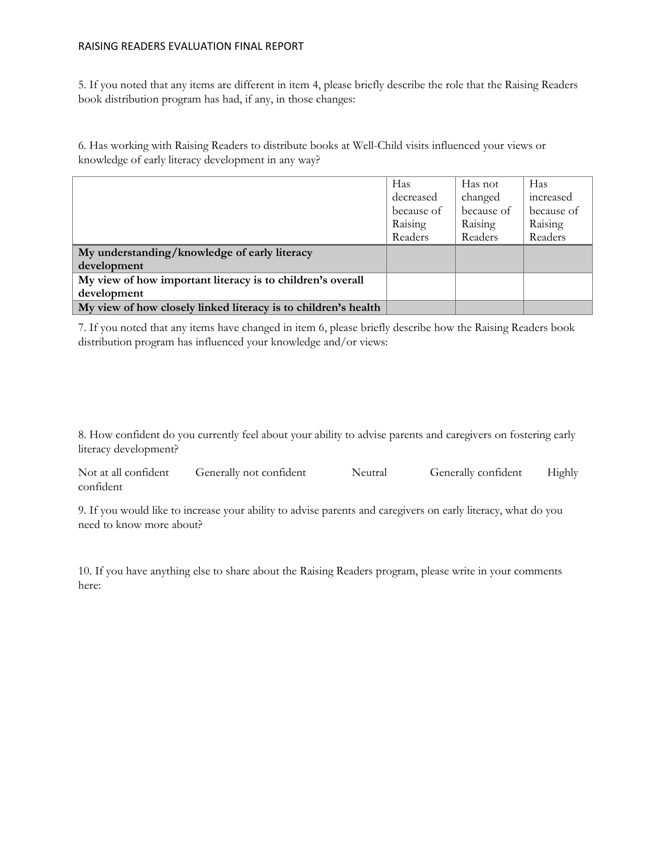### RAISING READERS EVALUATION FINAL REPORT

5. If you noted that any items are different in item 4, please briefly describe the role that the Raising Readers book distribution program has had, if any, in those changes:

6. Has working with Raising Readers to distribute books at Well-Child visits influenced your views or knowledge of early literacy development in any way?

|                                                                | Has        | Has not    | Has        |
|----------------------------------------------------------------|------------|------------|------------|
|                                                                | decreased  | changed    | increased  |
|                                                                | because of | because of | because of |
|                                                                | Raising    | Raising    | Raising    |
|                                                                | Readers    | Readers    | Readers    |
| My understanding/knowledge of early literacy                   |            |            |            |
| development                                                    |            |            |            |
| My view of how important literacy is to children's overall     |            |            |            |
| development                                                    |            |            |            |
| My view of how closely linked literacy is to children's health |            |            |            |

7. If you noted that any items have changed in item 6, please briefly describe how the Raising Readers book distribution program has influenced your knowledge and/or views:

8. How confident do you currently feel about your ability to advise parents and caregivers on fostering early literacy development?

| Not at all confident | Generally not confident | Neutral | Generally confident | Highly |
|----------------------|-------------------------|---------|---------------------|--------|
| confident            |                         |         |                     |        |

9. If you would like to increase your ability to advise parents and caregivers on early literacy, what do you need to know more about?

10. If you have anything else to share about the Raising Readers program, please write in your comments here: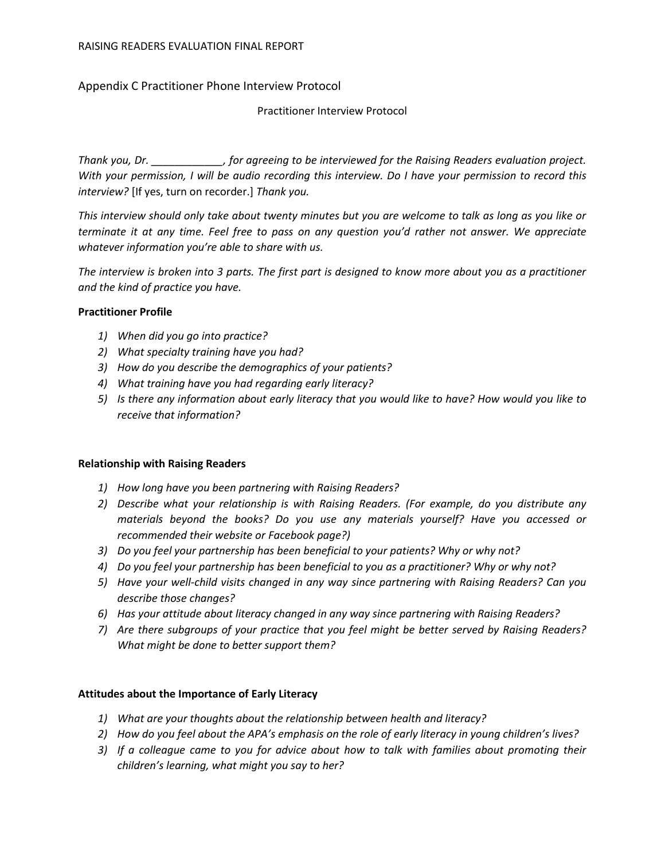# Appendix C Practitioner Phone Interview Protocol

Practitioner Interview Protocol

*Thank you, Dr. \_\_\_\_\_\_\_\_\_\_\_\_, for agreeing to be interviewed for the Raising Readers evaluation project. With your permission, I will be audio recording this interview. Do I have your permission to record this interview?* [If yes, turn on recorder.] *Thank you.*

*This interview should only take about twenty minutes but you are welcome to talk as long as you like or terminate it at any time. Feel free to pass on any question you'd rather not answer. We appreciate whatever information you're able to share with us.*

*The interview is broken into 3 parts. The first part is designed to know more about you as a practitioner and the kind of practice you have.* 

# **Practitioner Profile**

- *1) When did you go into practice?*
- *2) What specialty training have you had?*
- *3) How do you describe the demographics of your patients?*
- *4) What training have you had regarding early literacy?*
- *5) Is there any information about early literacy that you would like to have? How would you like to receive that information?*

## **Relationship with Raising Readers**

- *1) How long have you been partnering with Raising Readers?*
- *2) Describe what your relationship is with Raising Readers. (For example, do you distribute any materials beyond the books? Do you use any materials yourself? Have you accessed or recommended their website or Facebook page?)*
- *3) Do you feel your partnership has been beneficial to your patients? Why or why not?*
- *4) Do you feel your partnership has been beneficial to you as a practitioner? Why or why not?*
- *5) Have your well-child visits changed in any way since partnering with Raising Readers? Can you describe those changes?*
- *6) Has your attitude about literacy changed in any way since partnering with Raising Readers?*
- *7) Are there subgroups of your practice that you feel might be better served by Raising Readers? What might be done to better support them?*

# **Attitudes about the Importance of Early Literacy**

- *1) What are your thoughts about the relationship between health and literacy?*
- *2) How do you feel about the APA's emphasis on the role of early literacy in young children's lives?*
- *3) If a colleague came to you for advice about how to talk with families about promoting their children's learning, what might you say to her?*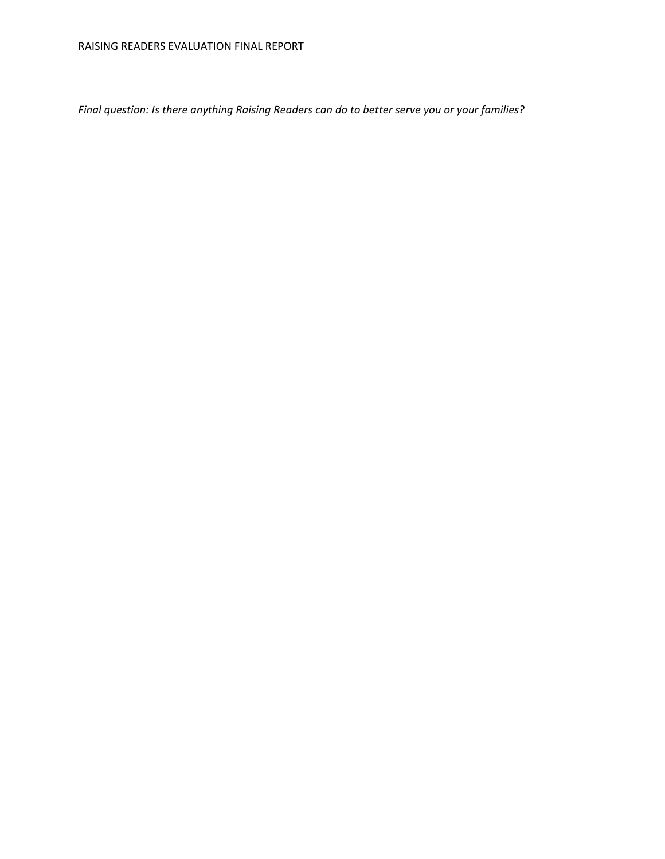*Final question: Is there anything Raising Readers can do to better serve you or your families?*